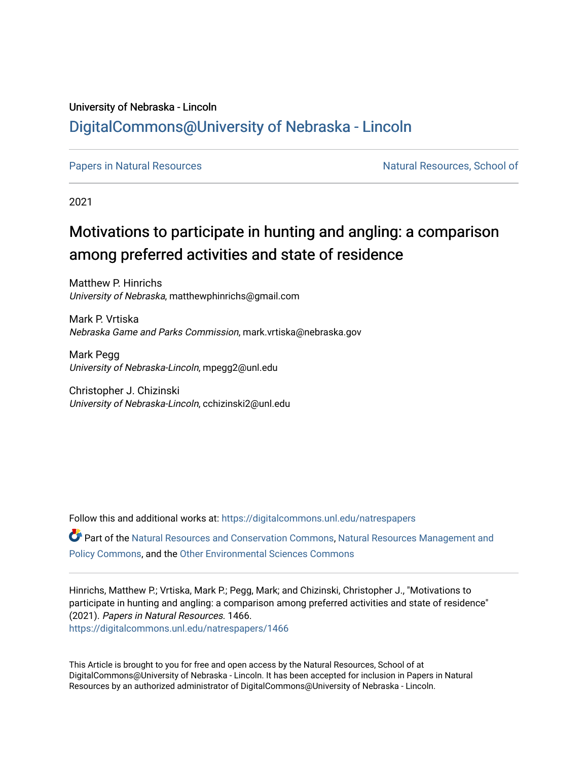## University of Nebraska - Lincoln [DigitalCommons@University of Nebraska - Lincoln](https://digitalcommons.unl.edu/)

[Papers in Natural Resources](https://digitalcommons.unl.edu/natrespapers) Natural Resources, School of

2021

# Motivations to participate in hunting and angling: a comparison among preferred activities and state of residence

Matthew P. Hinrichs University of Nebraska, matthewphinrichs@gmail.com

Mark P. Vrtiska Nebraska Game and Parks Commission, mark.vrtiska@nebraska.gov

Mark Pegg University of Nebraska-Lincoln, mpegg2@unl.edu

Christopher J. Chizinski University of Nebraska-Lincoln, cchizinski2@unl.edu

Follow this and additional works at: [https://digitalcommons.unl.edu/natrespapers](https://digitalcommons.unl.edu/natrespapers?utm_source=digitalcommons.unl.edu%2Fnatrespapers%2F1466&utm_medium=PDF&utm_campaign=PDFCoverPages) Part of the [Natural Resources and Conservation Commons,](http://network.bepress.com/hgg/discipline/168?utm_source=digitalcommons.unl.edu%2Fnatrespapers%2F1466&utm_medium=PDF&utm_campaign=PDFCoverPages) [Natural Resources Management and](http://network.bepress.com/hgg/discipline/170?utm_source=digitalcommons.unl.edu%2Fnatrespapers%2F1466&utm_medium=PDF&utm_campaign=PDFCoverPages) [Policy Commons](http://network.bepress.com/hgg/discipline/170?utm_source=digitalcommons.unl.edu%2Fnatrespapers%2F1466&utm_medium=PDF&utm_campaign=PDFCoverPages), and the [Other Environmental Sciences Commons](http://network.bepress.com/hgg/discipline/173?utm_source=digitalcommons.unl.edu%2Fnatrespapers%2F1466&utm_medium=PDF&utm_campaign=PDFCoverPages)

Hinrichs, Matthew P.; Vrtiska, Mark P.; Pegg, Mark; and Chizinski, Christopher J., "Motivations to participate in hunting and angling: a comparison among preferred activities and state of residence" (2021). Papers in Natural Resources. 1466. [https://digitalcommons.unl.edu/natrespapers/1466](https://digitalcommons.unl.edu/natrespapers/1466?utm_source=digitalcommons.unl.edu%2Fnatrespapers%2F1466&utm_medium=PDF&utm_campaign=PDFCoverPages) 

This Article is brought to you for free and open access by the Natural Resources, School of at DigitalCommons@University of Nebraska - Lincoln. It has been accepted for inclusion in Papers in Natural Resources by an authorized administrator of DigitalCommons@University of Nebraska - Lincoln.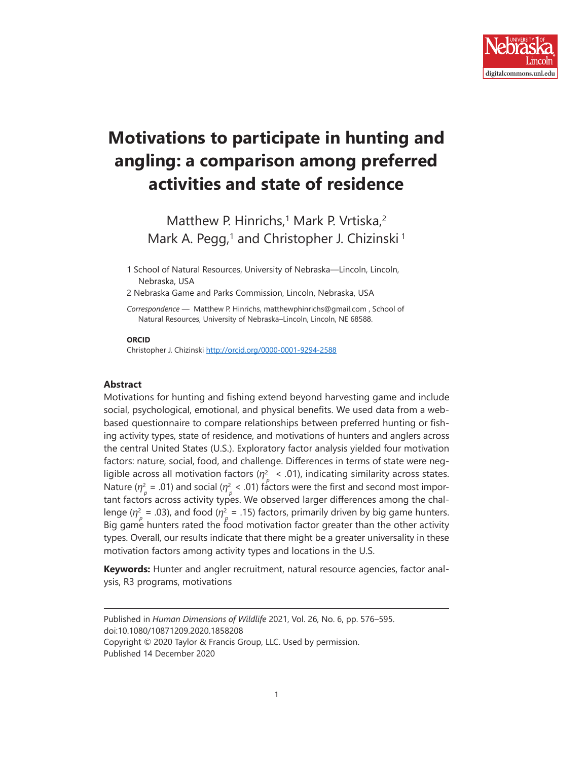

# **Motivations to participate in hunting and angling: a comparison among preferred activities and state of residence**

Matthew P. Hinrichs,<sup>1</sup> Mark P. Vrtiska,<sup>2</sup> Mark A. Pegg,<sup>1</sup> and Christopher J. Chizinski<sup>1</sup>

1 School of Natural Resources, University of Nebraska—Lincoln, Lincoln, Nebraska, USA

2 Nebraska Game and Parks Commission, Lincoln, Nebraska, USA

*Correspondence —* Matthew P. Hinrichs, matthewphinrichs@gmail.com , School of Natural Resources, University of Nebraska–Lincoln, Lincoln, NE 68588.

#### **ORCID**

Christopher J. Chizinski <http://orcid.org/0000-0001-9294-2588>

#### **Abstract**

Motivations for hunting and fishing extend beyond harvesting game and include social, psychological, emotional, and physical benefits. We used data from a webbased questionnaire to compare relationships between preferred hunting or fishing activity types, state of residence, and motivations of hunters and anglers across the central United States (U.S.). Exploratory factor analysis yielded four motivation factors: nature, social, food, and challenge. Differences in terms of state were negligible across all motivation factors (*η*<sup>2</sup>  *< .*01), indicating similarity across states. Nature ( $\eta_p^2$  = .01) and social ( $\eta_p^2$  < .01) factors were the first and second most important factors across activity types. We observed larger differences among the challenge ( $\eta_p^2$  = .03), and food ( $\eta_p^2$  = .15) factors, primarily driven by big game hunters. Big game hunters rated the food motivation factor greater than the other activity types. Overall, our results indicate that there might be a greater universality in these motivation factors among activity types and locations in the U.S.

**Keywords:** Hunter and angler recruitment, natural resource agencies, factor analysis, R3 programs, motivations

Published in *Human Dimensions of Wildlife* 2021, Vol. 26, No. 6, pp. 576–595. doi:10.1080/10871209.2020.1858208

Copyright © 2020 Taylor & Francis Group, LLC. Used by permission.

Published 14 December 2020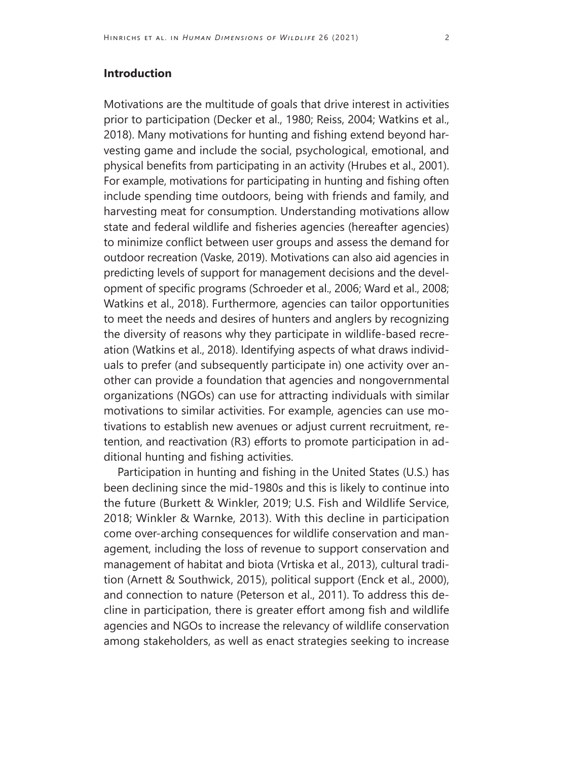### **Introduction**

Motivations are the multitude of goals that drive interest in activities prior to participation (Decker et al., 1980; Reiss, 2004; Watkins et al., 2018). Many motivations for hunting and fishing extend beyond harvesting game and include the social, psychological, emotional, and physical benefits from participating in an activity (Hrubes et al., 2001). For example, motivations for participating in hunting and fishing often include spending time outdoors, being with friends and family, and harvesting meat for consumption. Understanding motivations allow state and federal wildlife and fisheries agencies (hereafter agencies) to minimize conflict between user groups and assess the demand for outdoor recreation (Vaske, 2019). Motivations can also aid agencies in predicting levels of support for management decisions and the development of specific programs (Schroeder et al., 2006; Ward et al., 2008; Watkins et al., 2018). Furthermore, agencies can tailor opportunities to meet the needs and desires of hunters and anglers by recognizing the diversity of reasons why they participate in wildlife-based recreation (Watkins et al., 2018). Identifying aspects of what draws individuals to prefer (and subsequently participate in) one activity over another can provide a foundation that agencies and nongovernmental organizations (NGOs) can use for attracting individuals with similar motivations to similar activities. For example, agencies can use motivations to establish new avenues or adjust current recruitment, retention, and reactivation (R3) efforts to promote participation in additional hunting and fishing activities.

Participation in hunting and fishing in the United States (U.S.) has been declining since the mid-1980s and this is likely to continue into the future (Burkett & Winkler, 2019; U.S. Fish and Wildlife Service, 2018; Winkler & Warnke, 2013). With this decline in participation come over-arching consequences for wildlife conservation and management, including the loss of revenue to support conservation and management of habitat and biota (Vrtiska et al., 2013), cultural tradition (Arnett & Southwick, 2015), political support (Enck et al., 2000), and connection to nature (Peterson et al., 2011). To address this decline in participation, there is greater effort among fish and wildlife agencies and NGOs to increase the relevancy of wildlife conservation among stakeholders, as well as enact strategies seeking to increase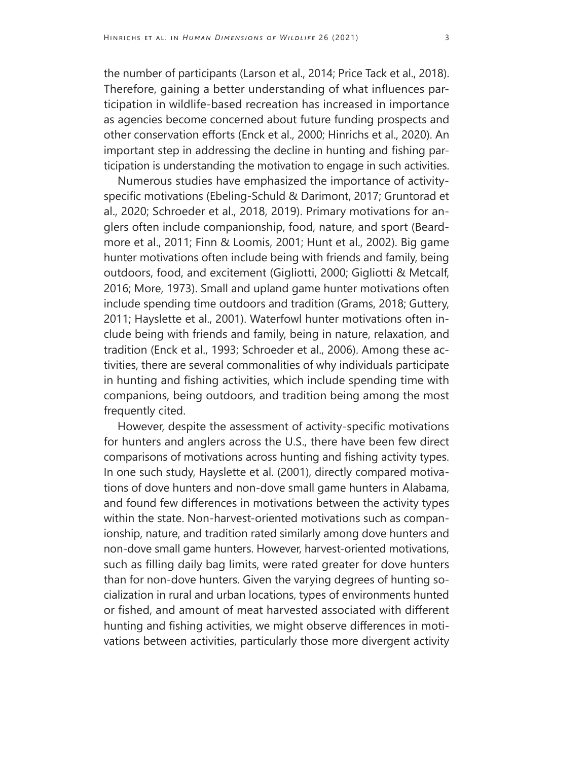the number of participants (Larson et al., 2014; Price Tack et al., 2018). Therefore, gaining a better understanding of what influences participation in wildlife-based recreation has increased in importance as agencies become concerned about future funding prospects and other conservation efforts (Enck et al., 2000; Hinrichs et al., 2020). An important step in addressing the decline in hunting and fishing participation is understanding the motivation to engage in such activities.

Numerous studies have emphasized the importance of activityspecific motivations (Ebeling-Schuld & Darimont, 2017; Gruntorad et al., 2020; Schroeder et al., 2018, 2019). Primary motivations for anglers often include companionship, food, nature, and sport (Beardmore et al., 2011; Finn & Loomis, 2001; Hunt et al., 2002). Big game hunter motivations often include being with friends and family, being outdoors, food, and excitement (Gigliotti, 2000; Gigliotti & Metcalf, 2016; More, 1973). Small and upland game hunter motivations often include spending time outdoors and tradition (Grams, 2018; Guttery, 2011; Hayslette et al., 2001). Waterfowl hunter motivations often include being with friends and family, being in nature, relaxation, and tradition (Enck et al., 1993; Schroeder et al., 2006). Among these activities, there are several commonalities of why individuals participate in hunting and fishing activities, which include spending time with companions, being outdoors, and tradition being among the most frequently cited.

However, despite the assessment of activity-specific motivations for hunters and anglers across the U.S., there have been few direct comparisons of motivations across hunting and fishing activity types. In one such study, Hayslette et al. (2001), directly compared motivations of dove hunters and non-dove small game hunters in Alabama, and found few differences in motivations between the activity types within the state. Non-harvest-oriented motivations such as companionship, nature, and tradition rated similarly among dove hunters and non-dove small game hunters. However, harvest-oriented motivations, such as filling daily bag limits, were rated greater for dove hunters than for non-dove hunters. Given the varying degrees of hunting socialization in rural and urban locations, types of environments hunted or fished, and amount of meat harvested associated with different hunting and fishing activities, we might observe differences in motivations between activities, particularly those more divergent activity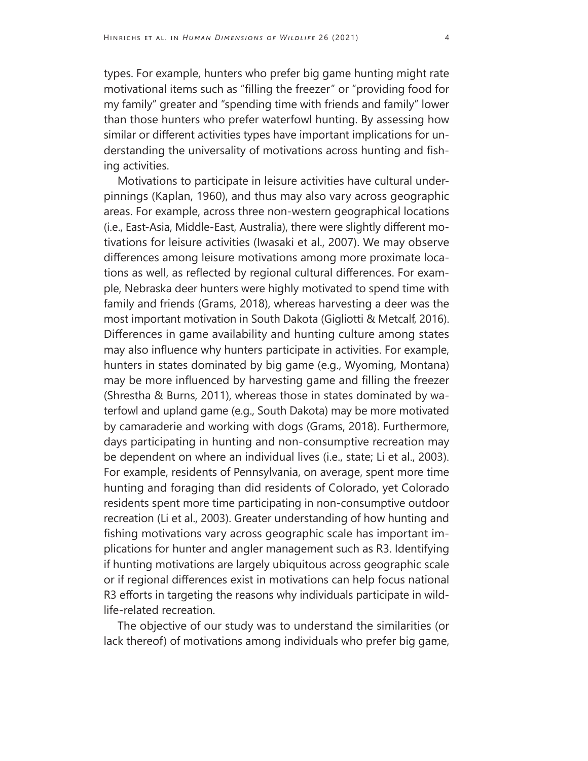types. For example, hunters who prefer big game hunting might rate motivational items such as "filling the freezer" or "providing food for my family" greater and "spending time with friends and family" lower than those hunters who prefer waterfowl hunting. By assessing how similar or different activities types have important implications for understanding the universality of motivations across hunting and fishing activities.

Motivations to participate in leisure activities have cultural underpinnings (Kaplan, 1960), and thus may also vary across geographic areas. For example, across three non-western geographical locations (i.e., East-Asia, Middle-East, Australia), there were slightly different motivations for leisure activities (Iwasaki et al., 2007). We may observe differences among leisure motivations among more proximate locations as well, as reflected by regional cultural differences. For example, Nebraska deer hunters were highly motivated to spend time with family and friends (Grams, 2018), whereas harvesting a deer was the most important motivation in South Dakota (Gigliotti & Metcalf, 2016). Differences in game availability and hunting culture among states may also influence why hunters participate in activities. For example, hunters in states dominated by big game (e.g., Wyoming, Montana) may be more influenced by harvesting game and filling the freezer (Shrestha & Burns, 2011), whereas those in states dominated by waterfowl and upland game (e.g., South Dakota) may be more motivated by camaraderie and working with dogs (Grams, 2018). Furthermore, days participating in hunting and non-consumptive recreation may be dependent on where an individual lives (i.e., state; Li et al., 2003). For example, residents of Pennsylvania, on average, spent more time hunting and foraging than did residents of Colorado, yet Colorado residents spent more time participating in non-consumptive outdoor recreation (Li et al., 2003). Greater understanding of how hunting and fishing motivations vary across geographic scale has important implications for hunter and angler management such as R3. Identifying if hunting motivations are largely ubiquitous across geographic scale or if regional differences exist in motivations can help focus national R3 efforts in targeting the reasons why individuals participate in wildlife-related recreation.

The objective of our study was to understand the similarities (or lack thereof) of motivations among individuals who prefer big game,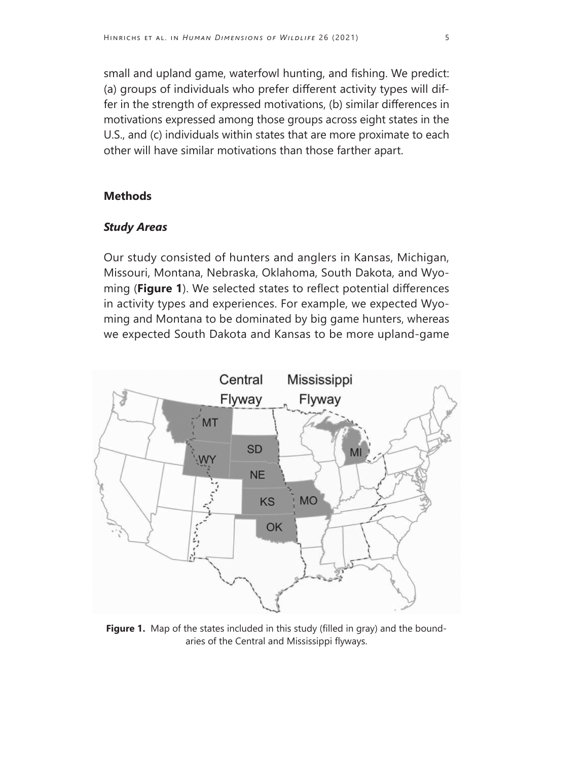small and upland game, waterfowl hunting, and fishing. We predict: (a) groups of individuals who prefer different activity types will differ in the strength of expressed motivations, (b) similar differences in motivations expressed among those groups across eight states in the U.S., and (c) individuals within states that are more proximate to each other will have similar motivations than those farther apart.

#### **Methods**

#### *Study Areas*

Our study consisted of hunters and anglers in Kansas, Michigan, Missouri, Montana, Nebraska, Oklahoma, South Dakota, and Wyoming (**Figure 1**). We selected states to reflect potential differences in activity types and experiences. For example, we expected Wyoming and Montana to be dominated by big game hunters, whereas we expected South Dakota and Kansas to be more upland-game



Figure 1. Map of the states included in this study (filled in gray) and the boundaries of the Central and Mississippi flyways.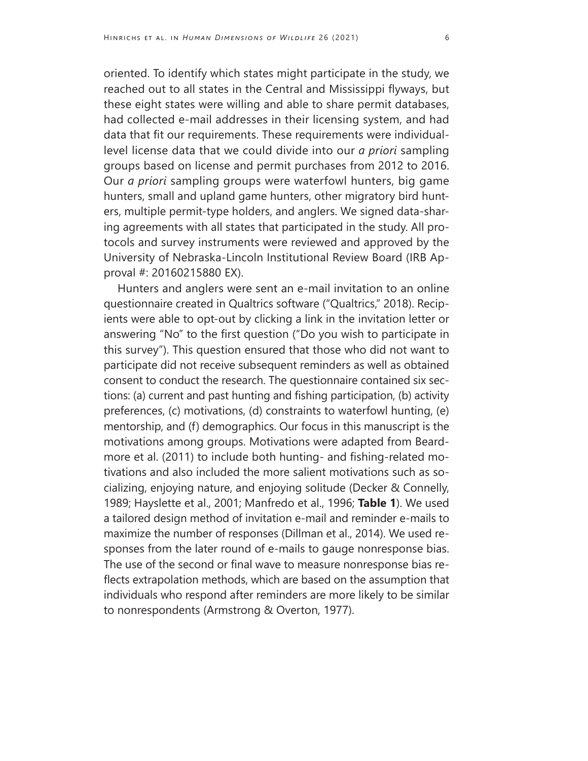oriented. To identify which states might participate in the study, we reached out to all states in the Central and Mississippi flyways, but these eight states were willing and able to share permit databases, had collected e-mail addresses in their licensing system, and had data that fit our requirements. These requirements were individuallevel license data that we could divide into our *a priori* sampling groups based on license and permit purchases from 2012 to 2016. Our *a priori* sampling groups were waterfowl hunters, big game hunters, small and upland game hunters, other migratory bird hunters, multiple permit-type holders, and anglers. We signed data-sharing agreements with all states that participated in the study. All protocols and survey instruments were reviewed and approved by the University of Nebraska-Lincoln Institutional Review Board (IRB Approval #: 20160215880 EX).

Hunters and anglers were sent an e-mail invitation to an online questionnaire created in Qualtrics software ("Qualtrics," 2018). Recipients were able to opt-out by clicking a link in the invitation letter or answering "No" to the first question ("Do you wish to participate in this survey"). This question ensured that those who did not want to participate did not receive subsequent reminders as well as obtained consent to conduct the research. The questionnaire contained six sections: (a) current and past hunting and fishing participation, (b) activity preferences, (c) motivations, (d) constraints to waterfowl hunting, (e) mentorship, and (f) demographics. Our focus in this manuscript is the motivations among groups. Motivations were adapted from Beardmore et al. (2011) to include both hunting- and fishing-related motivations and also included the more salient motivations such as socializing, enjoying nature, and enjoying solitude (Decker & Connelly, 1989; Hayslette et al., 2001; Manfredo et al., 1996; **Table 1**). We used a tailored design method of invitation e-mail and reminder e-mails to maximize the number of responses (Dillman et al., 2014). We used responses from the later round of e-mails to gauge nonresponse bias. The use of the second or final wave to measure nonresponse bias reflects extrapolation methods, which are based on the assumption that individuals who respond after reminders are more likely to be similar to nonrespondents (Armstrong & Overton, 1977).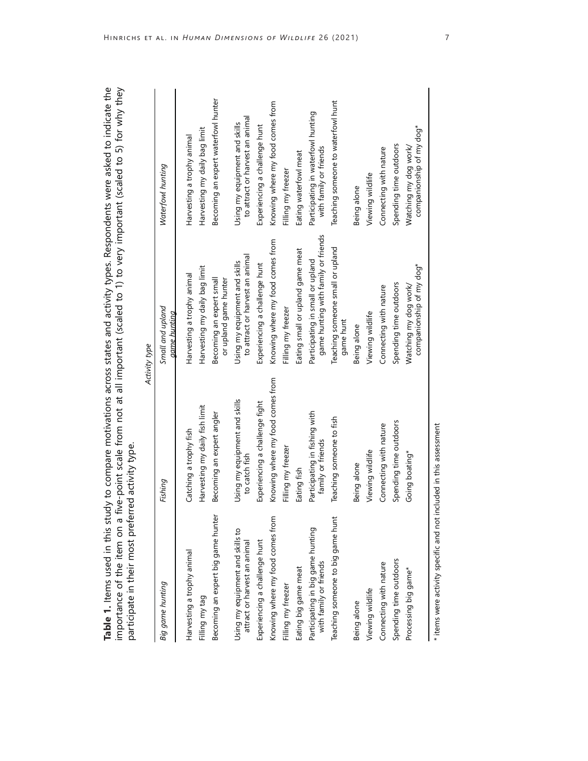| participate in their most preferi                                  | red activity type.                                 |                                                                         | Table 1. Items used in this study to compare motivations across states and activity types. Respondents were asked to indicate the<br>importance of the item on a five-point scale from not at all important (scaled to 1) to very important (scaled to 5) for why they |
|--------------------------------------------------------------------|----------------------------------------------------|-------------------------------------------------------------------------|------------------------------------------------------------------------------------------------------------------------------------------------------------------------------------------------------------------------------------------------------------------------|
|                                                                    |                                                    | Activity type                                                           |                                                                                                                                                                                                                                                                        |
| Big game hunting                                                   | Fishing                                            | Small and upland<br>game hunting                                        | Waterfowl hunting                                                                                                                                                                                                                                                      |
| Harvesting a trophy animal                                         | Catching a trophy fish                             | Harvesting a trophy animal                                              | Harvesting a trophy animal                                                                                                                                                                                                                                             |
| Filling my tag                                                     | Harvesting my daily fish limit                     | Harvesting my daily bag limit                                           | Harvesting my daily bag limit                                                                                                                                                                                                                                          |
| Becoming an expert big game hunter                                 | Becoming an expert angler                          | Becoming an expert small<br>or upland game hunter                       | Becoming an expert waterfowl hunter                                                                                                                                                                                                                                    |
| Using my equipment and skills to<br>attract or harvest an animal   | Using my equipment and skills<br>to catch fish     | to attract or harvest an animal<br>Using my equipment and skills        | to attract or harvest an animal<br>Using my equipment and skills                                                                                                                                                                                                       |
| Experiencing a challenge hunt                                      | Experiencing a challenge fight                     | Experiencing a challenge hunt                                           | Experiencing a challenge hunt                                                                                                                                                                                                                                          |
| Knowing where my food comes from                                   | Knowing where my food comes from                   | Knowing where my food comes from                                        | Knowing where my food comes from                                                                                                                                                                                                                                       |
| Filling my freezer                                                 | Filling my freezer                                 | Filling my freezer                                                      | Filling my freezer                                                                                                                                                                                                                                                     |
| Eating big game meat                                               | Eating fish                                        | Eating small or upland game meat                                        | Eating waterfowl meat                                                                                                                                                                                                                                                  |
| Participating in big game hunting<br>with family or friends        | Participating in fishing with<br>family or friends | game hunting with family or friends<br>Participating in small or upland | Participating in waterfowl hunting<br>with family or friends                                                                                                                                                                                                           |
| Teaching someone to big game hunt                                  | Teaching someone to fish                           | Teaching someone small or upland<br>game hunt                           | Teaching someone to waterfowl hunt                                                                                                                                                                                                                                     |
| Being alone                                                        | Being alone                                        | Being alone                                                             | Being alone                                                                                                                                                                                                                                                            |
| Viewing wildlife                                                   | Viewing wildlife                                   | Viewing wildlife                                                        | Viewing wildlife                                                                                                                                                                                                                                                       |
| Connecting with nature                                             | Connecting with nature                             | Connecting with nature                                                  | Connecting with nature                                                                                                                                                                                                                                                 |
| Spending time outdoors                                             | Spending time outdoors                             | Spending time outdoors                                                  | Spending time outdoors                                                                                                                                                                                                                                                 |
| Processing big game*                                               | Going boating*                                     | companionship of my dog*<br>Watching my dog work/                       | companionship of my dog*<br>Watching my dog work/                                                                                                                                                                                                                      |
| * items were activity specific and not included in this assessment |                                                    |                                                                         |                                                                                                                                                                                                                                                                        |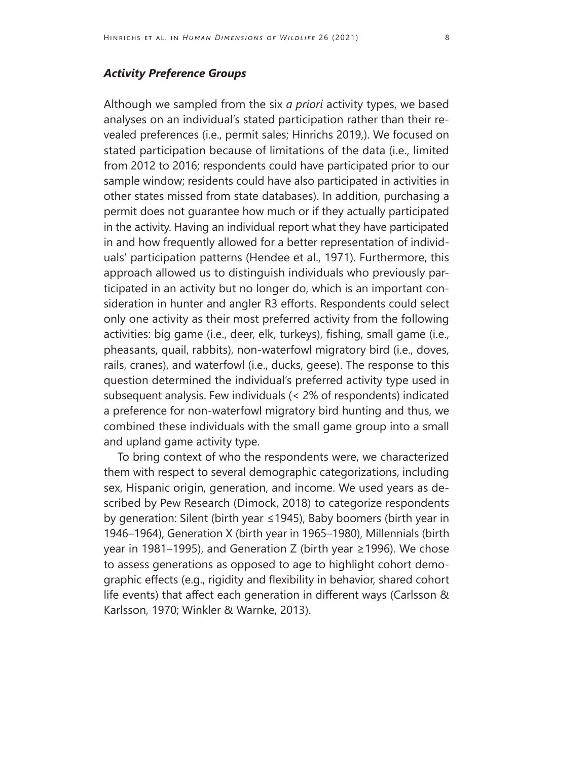### *Activity Preference Groups*

Although we sampled from the six *a priori* activity types, we based analyses on an individual's stated participation rather than their revealed preferences (i.e., permit sales; Hinrichs 2019,). We focused on stated participation because of limitations of the data (i.e., limited from 2012 to 2016; respondents could have participated prior to our sample window; residents could have also participated in activities in other states missed from state databases). In addition, purchasing a permit does not guarantee how much or if they actually participated in the activity. Having an individual report what they have participated in and how frequently allowed for a better representation of individuals' participation patterns (Hendee et al., 1971). Furthermore, this approach allowed us to distinguish individuals who previously participated in an activity but no longer do, which is an important consideration in hunter and angler R3 efforts. Respondents could select only one activity as their most preferred activity from the following activities: big game (i.e., deer, elk, turkeys), fishing, small game (i.e., pheasants, quail, rabbits), non-waterfowl migratory bird (i.e., doves, rails, cranes), and waterfowl (i.e., ducks, geese). The response to this question determined the individual's preferred activity type used in subsequent analysis. Few individuals (< 2% of respondents) indicated a preference for non-waterfowl migratory bird hunting and thus, we combined these individuals with the small game group into a small and upland game activity type.

To bring context of who the respondents were, we characterized them with respect to several demographic categorizations, including sex, Hispanic origin, generation, and income. We used years as described by Pew Research (Dimock, 2018) to categorize respondents by generation: Silent (birth year ≤1945), Baby boomers (birth year in 1946–1964), Generation X (birth year in 1965–1980), Millennials (birth year in 1981–1995), and Generation Z (birth year ≥1996). We chose to assess generations as opposed to age to highlight cohort demographic effects (e.g., rigidity and flexibility in behavior, shared cohort life events) that affect each generation in different ways (Carlsson & Karlsson, 1970; Winkler & Warnke, 2013).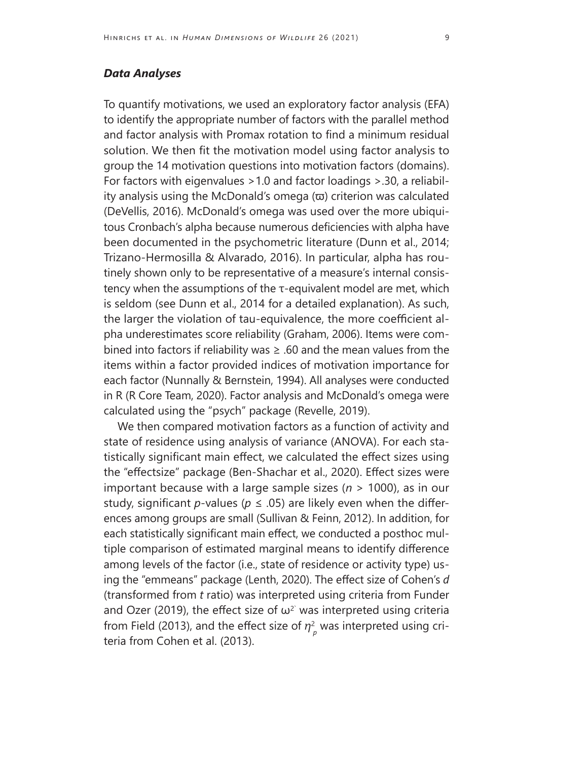### *Data Analyses*

To quantify motivations, we used an exploratory factor analysis (EFA) to identify the appropriate number of factors with the parallel method and factor analysis with Promax rotation to find a minimum residual solution. We then fit the motivation model using factor analysis to group the 14 motivation questions into motivation factors (domains). For factors with eigenvalues >1.0 and factor loadings >.30, a reliability analysis using the McDonald's omega  $(\varpi)$  criterion was calculated (DeVellis, 2016). McDonald's omega was used over the more ubiquitous Cronbach's alpha because numerous deficiencies with alpha have been documented in the psychometric literature (Dunn et al., 2014; Trizano-Hermosilla & Alvarado, 2016). In particular, alpha has routinely shown only to be representative of a measure's internal consistency when the assumptions of the τ-equivalent model are met, which is seldom (see Dunn et al., 2014 for a detailed explanation). As such, the larger the violation of tau-equivalence, the more coefficient alpha underestimates score reliability (Graham, 2006). Items were combined into factors if reliability was  $\geq$  .60 and the mean values from the items within a factor provided indices of motivation importance for each factor (Nunnally & Bernstein, 1994). All analyses were conducted in R (R Core Team, 2020). Factor analysis and McDonald's omega were calculated using the "psych" package (Revelle, 2019).

We then compared motivation factors as a function of activity and state of residence using analysis of variance (ANOVA). For each statistically significant main effect, we calculated the effect sizes using the "effectsize" package (Ben-Shachar et al., 2020). Effect sizes were important because with a large sample sizes (*n* > 1000), as in our study, significant *p*-values ( $p \le 0.05$ ) are likely even when the differences among groups are small (Sullivan & Feinn, 2012). In addition, for each statistically significant main effect, we conducted a posthoc multiple comparison of estimated marginal means to identify difference among levels of the factor (i.e., state of residence or activity type) using the "emmeans" package (Lenth, 2020). The effect size of Cohen's *d*  (transformed from *t* ratio) was interpreted using criteria from Funder and Ozer (2019), the effect size of  $\omega^2$  was interpreted using criteria from Field (2013), and the effect size of  $\eta_{\;\rho}^{\mathsf{2}}$  was interpreted using criteria from Cohen et al. (2013).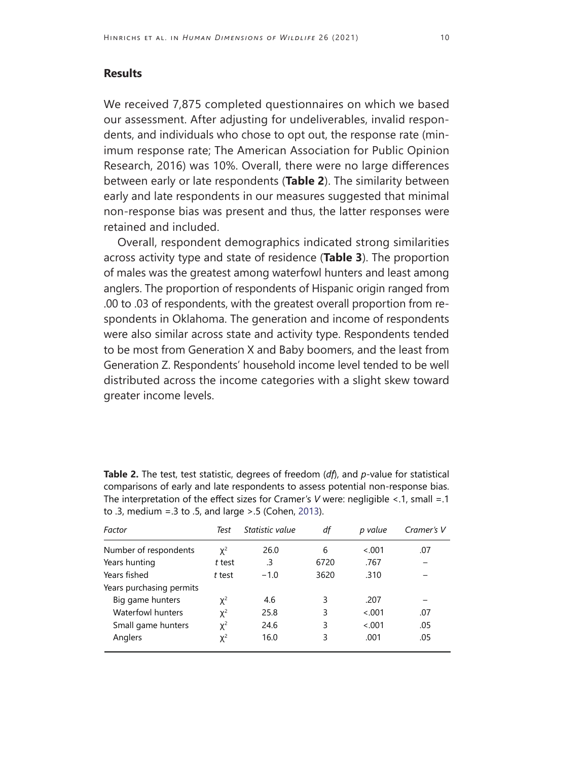#### **Results**

We received 7,875 completed questionnaires on which we based our assessment. After adjusting for undeliverables, invalid respondents, and individuals who chose to opt out, the response rate (minimum response rate; The American Association for Public Opinion Research, 2016) was 10%. Overall, there were no large differences between early or late respondents (**Table 2**). The similarity between early and late respondents in our measures suggested that minimal non-response bias was present and thus, the latter responses were retained and included.

Overall, respondent demographics indicated strong similarities across activity type and state of residence (**Table 3**). The proportion of males was the greatest among waterfowl hunters and least among anglers. The proportion of respondents of Hispanic origin ranged from .00 to .03 of respondents, with the greatest overall proportion from respondents in Oklahoma. The generation and income of respondents were also similar across state and activity type. Respondents tended to be most from Generation X and Baby boomers, and the least from Generation Z. Respondents' household income level tended to be well distributed across the income categories with a slight skew toward greater income levels.

| Factor                   | Test     | Statistic value | df   | p value | Cramer's V |
|--------------------------|----------|-----------------|------|---------|------------|
| Number of respondents    | $\chi^2$ | 26.0            | 6    | < 0.01  | .07        |
| Years hunting            | t test   | .3              | 6720 | .767    |            |
| Years fished             | t test   | $-1.0$          | 3620 | .310    |            |
| Years purchasing permits |          |                 |      |         |            |
| Big game hunters         | $\chi^2$ | 4.6             | 3    | .207    |            |
| Waterfowl hunters        | $\chi^2$ | 25.8            | 3    | < 0.01  | .07        |
| Small game hunters       | $\chi^2$ | 24.6            | 3    | < 001   | .05        |
| Anglers                  | $\chi^2$ | 16.0            | 3    | .001    | .05        |

**Table 2.** The test, test statistic, degrees of freedom (*df*), and *p*-value for statistical comparisons of early and late respondents to assess potential non-response bias. The interpretation of the effect sizes for Cramer's *V* were: negligible <.1, small =.1 to .3, medium =.3 to .5, and large >.5 (Cohen, 2013).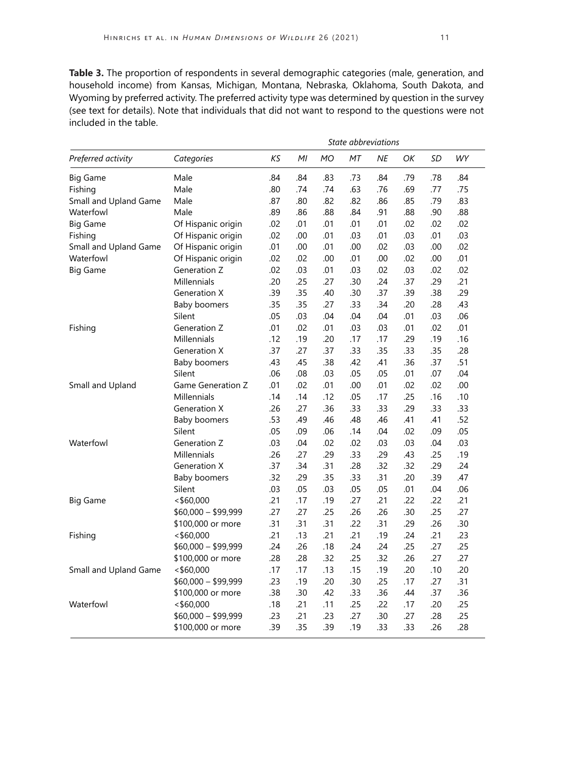**Table 3.** The proportion of respondents in several demographic categories (male, generation, and household income) from Kansas, Michigan, Montana, Nebraska, Oklahoma, South Dakota, and Wyoming by preferred activity. The preferred activity type was determined by question in the survey (see text for details). Note that individuals that did not want to respond to the questions were not included in the table.

|                       |                          | State abbreviations |     |           |     |     |     |     |           |
|-----------------------|--------------------------|---------------------|-----|-----------|-----|-----|-----|-----|-----------|
| Preferred activity    | Categories               | ΚS                  | MI  | <b>MO</b> | МT  | NE  | OK  | SD  | <b>WY</b> |
| <b>Big Game</b>       | Male                     | .84                 | .84 | .83       | .73 | .84 | .79 | .78 | .84       |
| Fishing               | Male                     | .80                 | .74 | .74       | .63 | .76 | .69 | .77 | .75       |
| Small and Upland Game | Male                     | .87                 | .80 | .82       | .82 | .86 | .85 | .79 | .83       |
| Waterfowl             | Male                     | .89                 | .86 | .88       | .84 | .91 | .88 | .90 | .88       |
| <b>Big Game</b>       | Of Hispanic origin       | .02                 | .01 | .01       | .01 | .01 | .02 | .02 | .02       |
| Fishing               | Of Hispanic origin       | .02                 | .00 | .01       | .03 | .01 | .03 | .01 | .03       |
| Small and Upland Game | Of Hispanic origin       | .01                 | .00 | .01       | .00 | .02 | .03 | .00 | .02       |
| Waterfowl             | Of Hispanic origin       | .02                 | .02 | .00       | .01 | .00 | .02 | .00 | .01       |
| <b>Big Game</b>       | Generation Z             | .02                 | .03 | .01       | .03 | .02 | .03 | .02 | .02       |
|                       | Millennials              | .20                 | .25 | .27       | .30 | .24 | .37 | .29 | .21       |
|                       | <b>Generation X</b>      | .39                 | .35 | .40       | .30 | .37 | .39 | .38 | .29       |
|                       | <b>Baby boomers</b>      | .35                 | .35 | .27       | .33 | .34 | .20 | .28 | .43       |
|                       | Silent                   | .05                 | .03 | .04       | .04 | .04 | .01 | .03 | .06       |
| Fishing               | Generation Z             | .01                 | .02 | .01       | .03 | .03 | .01 | .02 | .01       |
|                       | Millennials              | .12                 | .19 | .20       | .17 | .17 | .29 | .19 | .16       |
|                       | <b>Generation X</b>      | .37                 | .27 | .37       | .33 | .35 | .33 | .35 | .28       |
|                       | <b>Baby boomers</b>      | .43                 | .45 | .38       | .42 | .41 | .36 | .37 | .51       |
|                       | Silent                   | .06                 | .08 | .03       | .05 | .05 | .01 | .07 | .04       |
| Small and Upland      | <b>Game Generation Z</b> | .01                 | .02 | .01       | .00 | .01 | .02 | .02 | .00       |
|                       | Millennials              | .14                 | .14 | .12       | .05 | .17 | .25 | .16 | .10       |
|                       | <b>Generation X</b>      | .26                 | .27 | .36       | .33 | .33 | .29 | .33 | .33       |
|                       | <b>Baby boomers</b>      | .53                 | .49 | .46       | .48 | .46 | .41 | .41 | .52       |
|                       | Silent                   | .05                 | .09 | .06       | .14 | .04 | .02 | .09 | .05       |
| Waterfowl             | Generation Z             | .03                 | .04 | .02       | .02 | .03 | .03 | .04 | .03       |
|                       | Millennials              | .26                 | .27 | .29       | .33 | .29 | .43 | .25 | .19       |
|                       | <b>Generation X</b>      | .37                 | .34 | .31       | .28 | .32 | .32 | .29 | .24       |
|                       | <b>Baby boomers</b>      | .32                 | .29 | .35       | .33 | .31 | .20 | .39 | .47       |
|                       | Silent                   | .03                 | .05 | .03       | .05 | .05 | .01 | .04 | .06       |
| <b>Big Game</b>       | < \$60,000               | .21                 | .17 | .19       | .27 | .21 | .22 | .22 | .21       |
|                       | $$60,000 - $99,999$      | .27                 | .27 | .25       | .26 | .26 | .30 | .25 | .27       |
|                       | \$100,000 or more        | .31                 | .31 | .31       | .22 | .31 | .29 | .26 | .30       |
| Fishing               | < \$60,000               | .21                 | .13 | .21       | .21 | .19 | .24 | .21 | .23       |
|                       | $$60,000 - $99,999$      | .24                 | .26 | .18       | .24 | .24 | .25 | .27 | .25       |
|                       | \$100,000 or more        | .28                 | .28 | .32       | .25 | .32 | .26 | .27 | .27       |
| Small and Upland Game | < \$60,000               | .17                 | .17 | .13       | .15 | .19 | .20 | .10 | .20       |
|                       | $$60,000 - $99,999$      | .23                 | .19 | .20       | .30 | .25 | .17 | .27 | .31       |
|                       | \$100,000 or more        | .38                 | .30 | .42       | .33 | .36 | .44 | .37 | .36       |
| Waterfowl             | < \$60,000               | .18                 | .21 | .11       | .25 | .22 | .17 | .20 | .25       |
|                       | $$60,000 - $99,999$      | .23                 | .21 | .23       | .27 | .30 | .27 | .28 | .25       |
|                       | \$100,000 or more        | .39                 | .35 | .39       | .19 | .33 | .33 | .26 | .28       |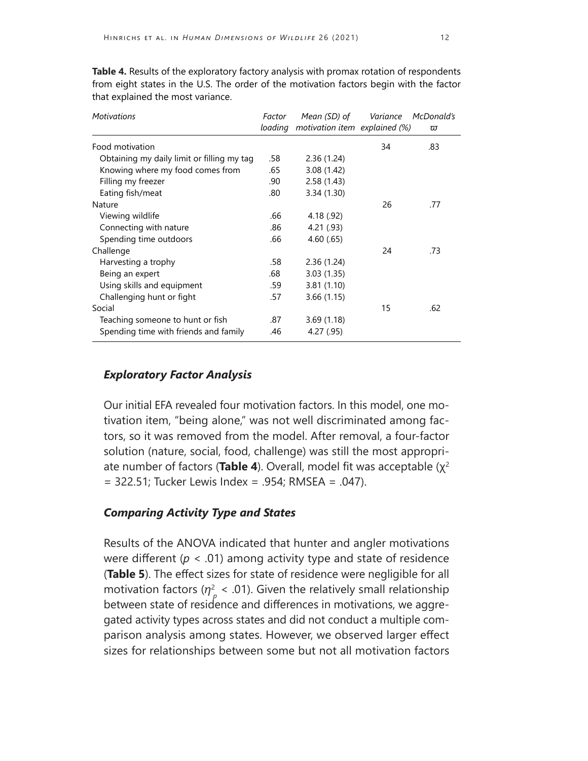| <b>Motivations</b>                         | Factor | Mean (SD) of<br>loading motivation item explained (%) | Variance | McDonald's<br>ω |
|--------------------------------------------|--------|-------------------------------------------------------|----------|-----------------|
|                                            |        |                                                       |          |                 |
| Food motivation                            |        |                                                       | 34       | .83             |
| Obtaining my daily limit or filling my tag | .58    | 2.36(1.24)                                            |          |                 |
| Knowing where my food comes from           | .65    | 3.08(1.42)                                            |          |                 |
| Filling my freezer                         | .90    | 2.58(1.43)                                            |          |                 |
| Eating fish/meat                           | .80    | 3.34(1.30)                                            |          |                 |
| Nature                                     |        |                                                       | 26       | .77             |
| Viewing wildlife                           | .66    | 4.18 (.92)                                            |          |                 |
| Connecting with nature                     | .86    | 4.21 (.93)                                            |          |                 |
| Spending time outdoors                     | .66    | 4.60(0.65)                                            |          |                 |
| Challenge                                  |        |                                                       | 24       | .73             |
| Harvesting a trophy                        | .58    | 2.36(1.24)                                            |          |                 |
| Being an expert                            | .68    | 3.03(1.35)                                            |          |                 |
| Using skills and equipment                 | .59    | 3.81(1.10)                                            |          |                 |
| Challenging hunt or fight                  | .57    | 3.66(1.15)                                            |          |                 |
| Social                                     |        |                                                       | 15       | .62             |
| Teaching someone to hunt or fish           | .87    | 3.69(1.18)                                            |          |                 |
| Spending time with friends and family      | .46    | 4.27(.95)                                             |          |                 |

**Table 4.** Results of the exploratory factory analysis with promax rotation of respondents from eight states in the U.S. The order of the motivation factors begin with the factor that explained the most variance.

#### *Exploratory Factor Analysis*

Our initial EFA revealed four motivation factors. In this model, one motivation item, "being alone," was not well discriminated among factors, so it was removed from the model. After removal, a four-factor solution (nature, social, food, challenge) was still the most appropriate number of factors (**Table 4**). Overall, model fit was acceptable (χ<sup>2</sup> = 322.51; Tucker Lewis Index = .954; RMSEA = .047).

#### *Comparing Activity Type and States*

Results of the ANOVA indicated that hunter and angler motivations were different (*p* < .01) among activity type and state of residence (**Table 5**). The effect sizes for state of residence were negligible for all motivation factors ( $\eta_p^2$  < .01). Given the relatively small relationship between state of residence and differences in motivations, we aggregated activity types across states and did not conduct a multiple comparison analysis among states. However, we observed larger effect sizes for relationships between some but not all motivation factors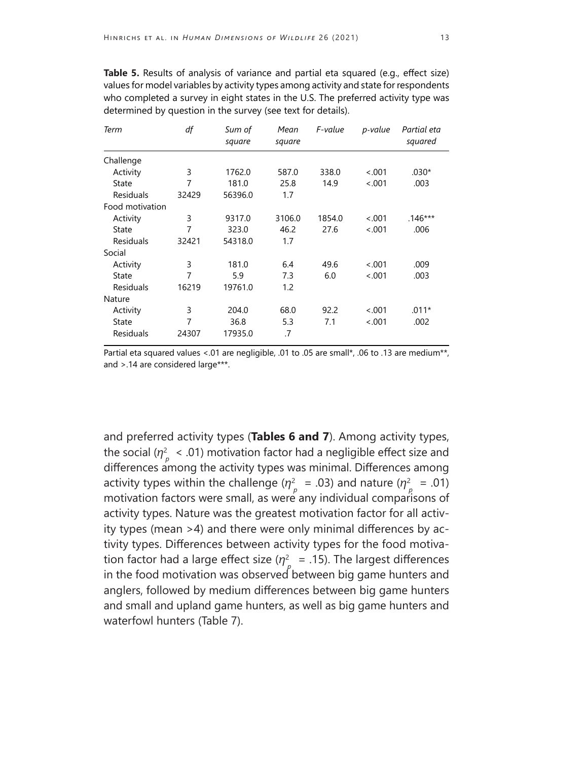**Table 5.** Results of analysis of variance and partial eta squared (e.g., effect size) values for model variables by activity types among activity and state for respondents who completed a survey in eight states in the U.S. The preferred activity type was determined by question in the survey (see text for details).

| Term             | df    | Sum of<br>square | Mean<br>square | F-value | p-value | Partial eta<br>squared |
|------------------|-------|------------------|----------------|---------|---------|------------------------|
| Challenge        |       |                  |                |         |         |                        |
| Activity         | 3     | 1762.0           | 587.0          | 338.0   | < .001  | $.030*$                |
| State            | 7     | 181.0            | 25.8           | 14.9    | < .001  | .003                   |
| <b>Residuals</b> | 32429 | 56396.0          | 1.7            |         |         |                        |
| Food motivation  |       |                  |                |         |         |                        |
| Activity         | 3     | 9317.0           | 3106.0         | 1854.0  | < .001  | $.146***$              |
| State            | 7     | 323.0            | 46.2           | 27.6    | < 0.001 | .006                   |
| <b>Residuals</b> | 32421 | 54318.0          | 1.7            |         |         |                        |
| Social           |       |                  |                |         |         |                        |
| Activity         | 3     | 181.0            | 6.4            | 49.6    | < .001  | .009                   |
| State            | 7     | 5.9              | 7.3            | 6.0     | < 0.001 | .003                   |
| <b>Residuals</b> | 16219 | 19761.0          | 1.2            |         |         |                        |
| Nature           |       |                  |                |         |         |                        |
| Activity         | 3     | 204.0            | 68.0           | 92.2    | < .001  | $.011*$                |
| State            | 7     | 36.8             | 5.3            | 7.1     | < 0.001 | .002                   |
| <b>Residuals</b> | 24307 | 17935.0          | .7             |         |         |                        |

Partial eta squared values <.01 are negligible, .01 to .05 are small\*, .06 to .13 are medium\*\*, and >.14 are considered large\*\*\*.

and preferred activity types (**Tables 6 and 7**). Among activity types, the social ( $\eta_{\rho}^2$   $<$  .01) motivation factor had a negligible effect size and differences among the activity types was minimal. Differences among activity types within the challenge ( $\eta_{p}^{2}$  = .03) and nature ( $\eta_{p}^{2}$  = .01) motivation factors were small, as were any individual comparisons of activity types. Nature was the greatest motivation factor for all activity types (mean >4) and there were only minimal differences by activity types. Differences between activity types for the food motivation factor had a large effect size  $(\eta^2)$  = .15). The largest differences in the food motivation was observed between big game hunters and anglers, followed by medium differences between big game hunters and small and upland game hunters, as well as big game hunters and waterfowl hunters (Table 7).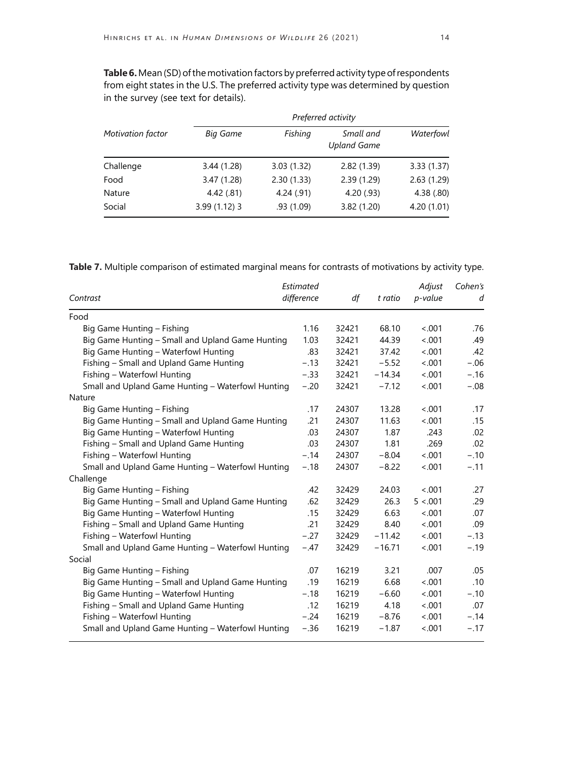**Table 6.**Mean (SD) of the motivation factors by preferred activity type of respondents from eight states in the U.S. The preferred activity type was determined by question in the survey (see text for details).

|                          |                 | Preferred activity |                                 |            |  |  |  |  |  |
|--------------------------|-----------------|--------------------|---------------------------------|------------|--|--|--|--|--|
| <b>Motivation factor</b> | <b>Big Game</b> | Fishing            | Small and<br><b>Upland Game</b> | Waterfowl  |  |  |  |  |  |
| Challenge                | 3.44 (1.28)     | 3.03(1.32)         | 2.82(1.39)                      | 3.33(1.37) |  |  |  |  |  |
| Food                     | 3.47 (1.28)     | 2.30(1.33)         | 2.39(1.29)                      | 2.63(1.29) |  |  |  |  |  |
| Nature                   | 4.42(.81)       | 4.24(.91)          | 4.20(0.93)                      | 4.38(.80)  |  |  |  |  |  |
| Social                   | $3.99(1.12)$ 3  | .93(1.09)          | 3.82(1.20)                      | 4.20(1.01) |  |  |  |  |  |

**Table 7.** Multiple comparison of estimated marginal means for contrasts of motivations by activity type.

| Contrast                                          | Estimated<br>difference | df    | t ratio  | Adjust<br>p-value | Cohen's<br>d |
|---------------------------------------------------|-------------------------|-------|----------|-------------------|--------------|
| Food                                              |                         |       |          |                   |              |
| Big Game Hunting - Fishing                        | 1.16                    | 32421 | 68.10    | < .001            | .76          |
| Big Game Hunting - Small and Upland Game Hunting  | 1.03                    | 32421 | 44.39    | < .001            | .49          |
| Big Game Hunting - Waterfowl Hunting              | .83                     | 32421 | 37.42    | < .001            | .42          |
| Fishing - Small and Upland Game Hunting           | $-.13$                  | 32421 | $-5.52$  | < .001            | $-.06$       |
| Fishing - Waterfowl Hunting                       | $-.33$                  | 32421 | $-14.34$ | < .001            | $-.16$       |
| Small and Upland Game Hunting - Waterfowl Hunting | $-.20$                  | 32421 | $-7.12$  | < .001            | $-.08$       |
| Nature                                            |                         |       |          |                   |              |
| Big Game Hunting – Fishing                        | .17                     | 24307 | 13.28    | < .001            | .17          |
| Big Game Hunting - Small and Upland Game Hunting  | .21                     | 24307 | 11.63    | < .001            | .15          |
| Big Game Hunting - Waterfowl Hunting              | .03                     | 24307 | 1.87     | .243              | .02          |
| Fishing - Small and Upland Game Hunting           | .03                     | 24307 | 1.81     | .269              | .02          |
| Fishing - Waterfowl Hunting                       | $-.14$                  | 24307 | $-8.04$  | < .001            | $-.10$       |
| Small and Upland Game Hunting - Waterfowl Hunting | $-.18$                  | 24307 | $-8.22$  | < .001            | $-.11$       |
| Challenge                                         |                         |       |          |                   |              |
| Big Game Hunting - Fishing                        | .42                     | 32429 | 24.03    | < .001            | .27          |
| Big Game Hunting - Small and Upland Game Hunting  | .62                     | 32429 | 26.3     | 5 < .001          | .29          |
| Big Game Hunting - Waterfowl Hunting              | .15                     | 32429 | 6.63     | < .001            | .07          |
| Fishing - Small and Upland Game Hunting           | .21                     | 32429 | 8.40     | < .001            | .09          |
| Fishing - Waterfowl Hunting                       | $-.27$                  | 32429 | $-11.42$ | < .001            | $-.13$       |
| Small and Upland Game Hunting - Waterfowl Hunting | $-.47$                  | 32429 | $-16.71$ | < .001            | $-.19$       |
| Social                                            |                         |       |          |                   |              |
| Big Game Hunting - Fishing                        | .07                     | 16219 | 3.21     | .007              | .05          |
| Big Game Hunting - Small and Upland Game Hunting  | .19                     | 16219 | 6.68     | < .001            | .10          |
| Big Game Hunting - Waterfowl Hunting              | $-.18$                  | 16219 | $-6.60$  | < .001            | $-.10$       |
| Fishing - Small and Upland Game Hunting           | .12                     | 16219 | 4.18     | < .001            | .07          |
| Fishing - Waterfowl Hunting                       | $-.24$                  | 16219 | $-8.76$  | < .001            | $-.14$       |
| Small and Upland Game Hunting - Waterfowl Hunting | $-.36$                  | 16219 | $-1.87$  | < .001            | $-.17$       |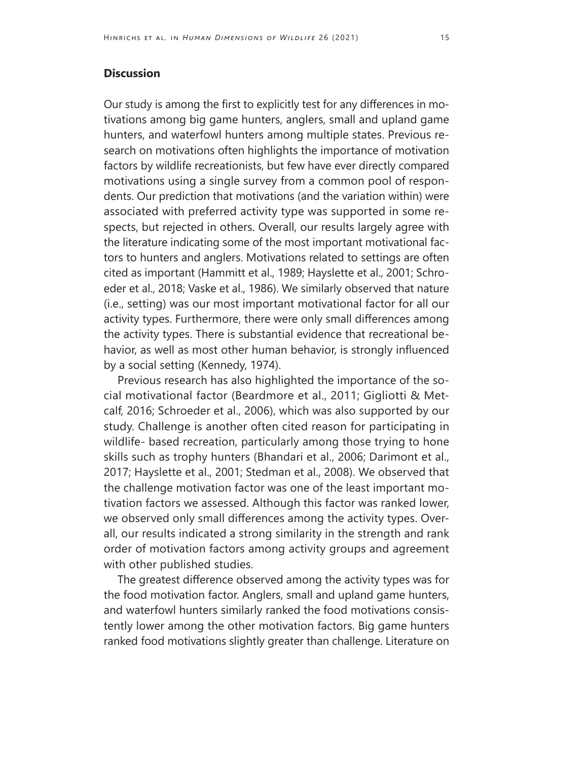#### **Discussion**

Our study is among the first to explicitly test for any differences in motivations among big game hunters, anglers, small and upland game hunters, and waterfowl hunters among multiple states. Previous research on motivations often highlights the importance of motivation factors by wildlife recreationists, but few have ever directly compared motivations using a single survey from a common pool of respondents. Our prediction that motivations (and the variation within) were associated with preferred activity type was supported in some respects, but rejected in others. Overall, our results largely agree with the literature indicating some of the most important motivational factors to hunters and anglers. Motivations related to settings are often cited as important (Hammitt et al., 1989; Hayslette et al., 2001; Schroeder et al., 2018; Vaske et al., 1986). We similarly observed that nature (i.e., setting) was our most important motivational factor for all our activity types. Furthermore, there were only small differences among the activity types. There is substantial evidence that recreational behavior, as well as most other human behavior, is strongly influenced by a social setting (Kennedy, 1974).

Previous research has also highlighted the importance of the social motivational factor (Beardmore et al., 2011; Gigliotti & Metcalf, 2016; Schroeder et al., 2006), which was also supported by our study. Challenge is another often cited reason for participating in wildlife- based recreation, particularly among those trying to hone skills such as trophy hunters (Bhandari et al., 2006; Darimont et al., 2017; Hayslette et al., 2001; Stedman et al., 2008). We observed that the challenge motivation factor was one of the least important motivation factors we assessed. Although this factor was ranked lower, we observed only small differences among the activity types. Overall, our results indicated a strong similarity in the strength and rank order of motivation factors among activity groups and agreement with other published studies.

The greatest difference observed among the activity types was for the food motivation factor. Anglers, small and upland game hunters, and waterfowl hunters similarly ranked the food motivations consistently lower among the other motivation factors. Big game hunters ranked food motivations slightly greater than challenge. Literature on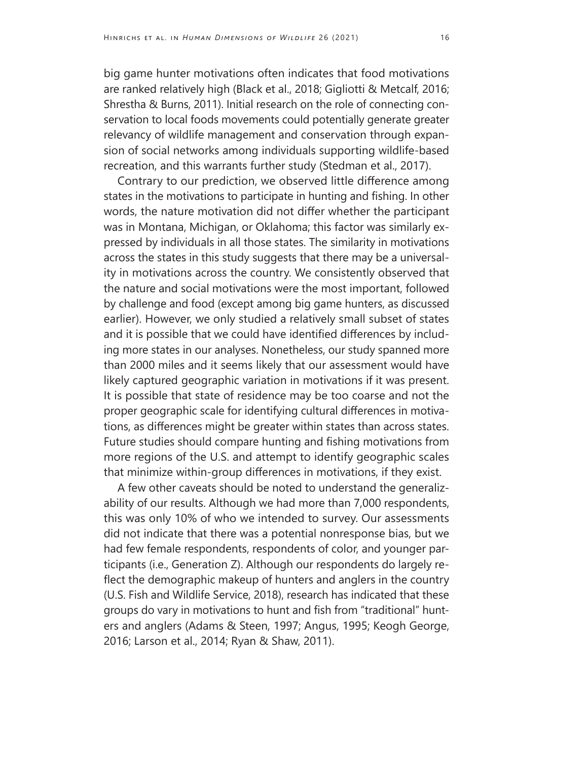big game hunter motivations often indicates that food motivations are ranked relatively high (Black et al., 2018; Gigliotti & Metcalf, 2016; Shrestha & Burns, 2011). Initial research on the role of connecting conservation to local foods movements could potentially generate greater relevancy of wildlife management and conservation through expansion of social networks among individuals supporting wildlife-based recreation, and this warrants further study (Stedman et al., 2017).

Contrary to our prediction, we observed little difference among states in the motivations to participate in hunting and fishing. In other words, the nature motivation did not differ whether the participant was in Montana, Michigan, or Oklahoma; this factor was similarly expressed by individuals in all those states. The similarity in motivations across the states in this study suggests that there may be a universality in motivations across the country. We consistently observed that the nature and social motivations were the most important, followed by challenge and food (except among big game hunters, as discussed earlier). However, we only studied a relatively small subset of states and it is possible that we could have identified differences by including more states in our analyses. Nonetheless, our study spanned more than 2000 miles and it seems likely that our assessment would have likely captured geographic variation in motivations if it was present. It is possible that state of residence may be too coarse and not the proper geographic scale for identifying cultural differences in motivations, as differences might be greater within states than across states. Future studies should compare hunting and fishing motivations from more regions of the U.S. and attempt to identify geographic scales that minimize within-group differences in motivations, if they exist.

A few other caveats should be noted to understand the generalizability of our results. Although we had more than 7,000 respondents, this was only 10% of who we intended to survey. Our assessments did not indicate that there was a potential nonresponse bias, but we had few female respondents, respondents of color, and younger participants (i.e., Generation Z). Although our respondents do largely reflect the demographic makeup of hunters and anglers in the country (U.S. Fish and Wildlife Service, 2018), research has indicated that these groups do vary in motivations to hunt and fish from "traditional" hunters and anglers (Adams & Steen, 1997; Angus, 1995; Keogh George, 2016; Larson et al., 2014; Ryan & Shaw, 2011).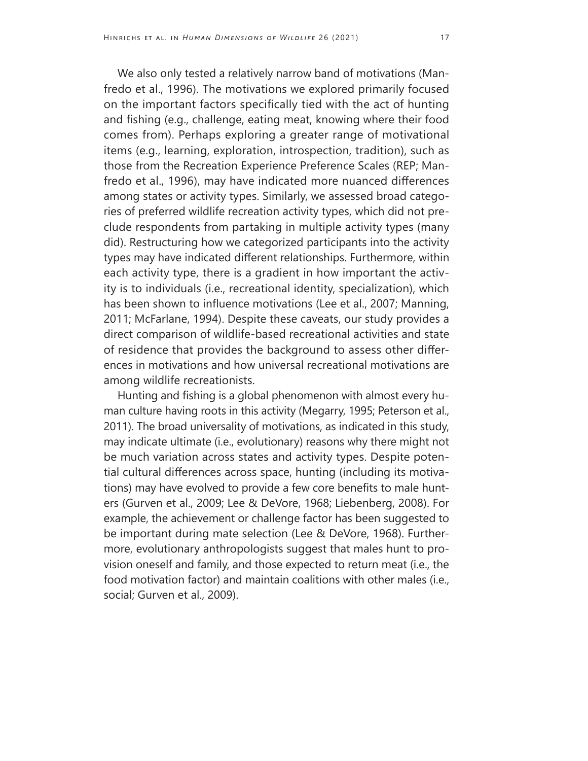We also only tested a relatively narrow band of motivations (Manfredo et al., 1996). The motivations we explored primarily focused on the important factors specifically tied with the act of hunting and fishing (e.g., challenge, eating meat, knowing where their food comes from). Perhaps exploring a greater range of motivational items (e.g., learning, exploration, introspection, tradition), such as those from the Recreation Experience Preference Scales (REP; Manfredo et al., 1996), may have indicated more nuanced differences among states or activity types. Similarly, we assessed broad categories of preferred wildlife recreation activity types, which did not preclude respondents from partaking in multiple activity types (many did). Restructuring how we categorized participants into the activity types may have indicated different relationships. Furthermore, within each activity type, there is a gradient in how important the activity is to individuals (i.e., recreational identity, specialization), which has been shown to influence motivations (Lee et al., 2007; Manning, 2011; McFarlane, 1994). Despite these caveats, our study provides a direct comparison of wildlife-based recreational activities and state of residence that provides the background to assess other differences in motivations and how universal recreational motivations are among wildlife recreationists.

Hunting and fishing is a global phenomenon with almost every human culture having roots in this activity (Megarry, 1995; Peterson et al., 2011). The broad universality of motivations, as indicated in this study, may indicate ultimate (i.e., evolutionary) reasons why there might not be much variation across states and activity types. Despite potential cultural differences across space, hunting (including its motivations) may have evolved to provide a few core benefits to male hunters (Gurven et al., 2009; Lee & DeVore, 1968; Liebenberg, 2008). For example, the achievement or challenge factor has been suggested to be important during mate selection (Lee & DeVore, 1968). Furthermore, evolutionary anthropologists suggest that males hunt to provision oneself and family, and those expected to return meat (i.e., the food motivation factor) and maintain coalitions with other males (i.e., social; Gurven et al., 2009).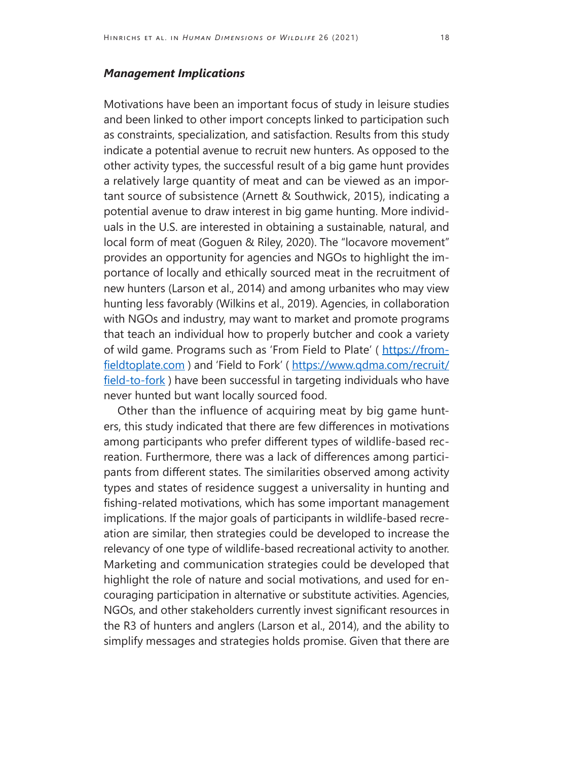#### *Management Implications*

Motivations have been an important focus of study in leisure studies and been linked to other import concepts linked to participation such as constraints, specialization, and satisfaction. Results from this study indicate a potential avenue to recruit new hunters. As opposed to the other activity types, the successful result of a big game hunt provides a relatively large quantity of meat and can be viewed as an important source of subsistence (Arnett & Southwick, 2015), indicating a potential avenue to draw interest in big game hunting. More individuals in the U.S. are interested in obtaining a sustainable, natural, and local form of meat (Goguen & Riley, 2020). The "locavore movement" provides an opportunity for agencies and NGOs to highlight the importance of locally and ethically sourced meat in the recruitment of new hunters (Larson et al., 2014) and among urbanites who may view hunting less favorably (Wilkins et al., 2019). Agencies, in collaboration with NGOs and industry, may want to market and promote programs that teach an individual how to properly butcher and cook a variety of wild game. Programs such as 'From Field to Plate' ([https://from](https://fromfieldtoplate.com)[fieldtoplate.com](https://fromfieldtoplate.com) ) and 'Field to Fork' ( [https://www.qdma.com/recruit/](https://www.qdma.com/recruit/field-to-fork) [field-to-fork](https://www.qdma.com/recruit/field-to-fork)) have been successful in targeting individuals who have never hunted but want locally sourced food.

Other than the influence of acquiring meat by big game hunters, this study indicated that there are few differences in motivations among participants who prefer different types of wildlife-based recreation. Furthermore, there was a lack of differences among participants from different states. The similarities observed among activity types and states of residence suggest a universality in hunting and fishing-related motivations, which has some important management implications. If the major goals of participants in wildlife-based recreation are similar, then strategies could be developed to increase the relevancy of one type of wildlife-based recreational activity to another. Marketing and communication strategies could be developed that highlight the role of nature and social motivations, and used for encouraging participation in alternative or substitute activities. Agencies, NGOs, and other stakeholders currently invest significant resources in the R3 of hunters and anglers (Larson et al., 2014), and the ability to simplify messages and strategies holds promise. Given that there are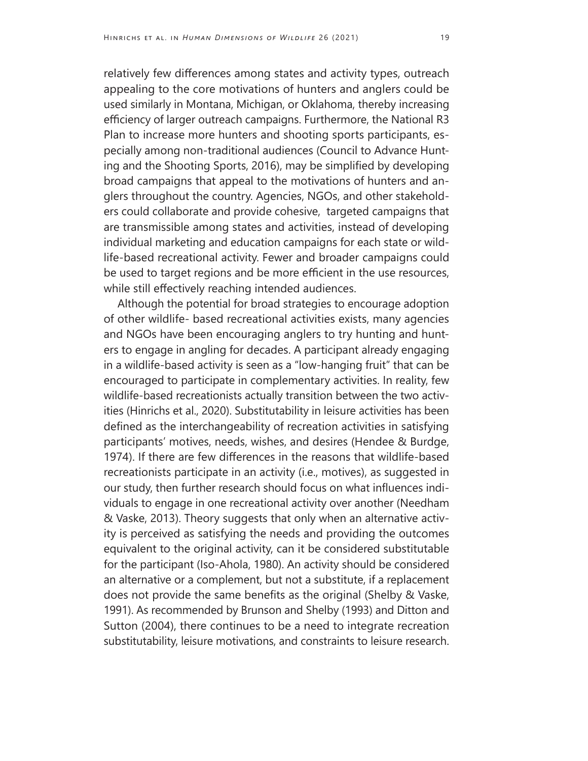relatively few differences among states and activity types, outreach appealing to the core motivations of hunters and anglers could be used similarly in Montana, Michigan, or Oklahoma, thereby increasing efficiency of larger outreach campaigns. Furthermore, the National R3 Plan to increase more hunters and shooting sports participants, especially among non-traditional audiences (Council to Advance Hunting and the Shooting Sports, 2016), may be simplified by developing broad campaigns that appeal to the motivations of hunters and anglers throughout the country. Agencies, NGOs, and other stakeholders could collaborate and provide cohesive, targeted campaigns that are transmissible among states and activities, instead of developing individual marketing and education campaigns for each state or wildlife-based recreational activity. Fewer and broader campaigns could be used to target regions and be more efficient in the use resources, while still effectively reaching intended audiences.

Although the potential for broad strategies to encourage adoption of other wildlife- based recreational activities exists, many agencies and NGOs have been encouraging anglers to try hunting and hunters to engage in angling for decades. A participant already engaging in a wildlife-based activity is seen as a "low-hanging fruit" that can be encouraged to participate in complementary activities. In reality, few wildlife-based recreationists actually transition between the two activities (Hinrichs et al., 2020). Substitutability in leisure activities has been defined as the interchangeability of recreation activities in satisfying participants' motives, needs, wishes, and desires (Hendee & Burdge, 1974). If there are few differences in the reasons that wildlife-based recreationists participate in an activity (i.e., motives), as suggested in our study, then further research should focus on what influences individuals to engage in one recreational activity over another (Needham & Vaske, 2013). Theory suggests that only when an alternative activity is perceived as satisfying the needs and providing the outcomes equivalent to the original activity, can it be considered substitutable for the participant (Iso-Ahola, 1980). An activity should be considered an alternative or a complement, but not a substitute, if a replacement does not provide the same benefits as the original (Shelby & Vaske, 1991). As recommended by Brunson and Shelby (1993) and Ditton and Sutton (2004), there continues to be a need to integrate recreation substitutability, leisure motivations, and constraints to leisure research.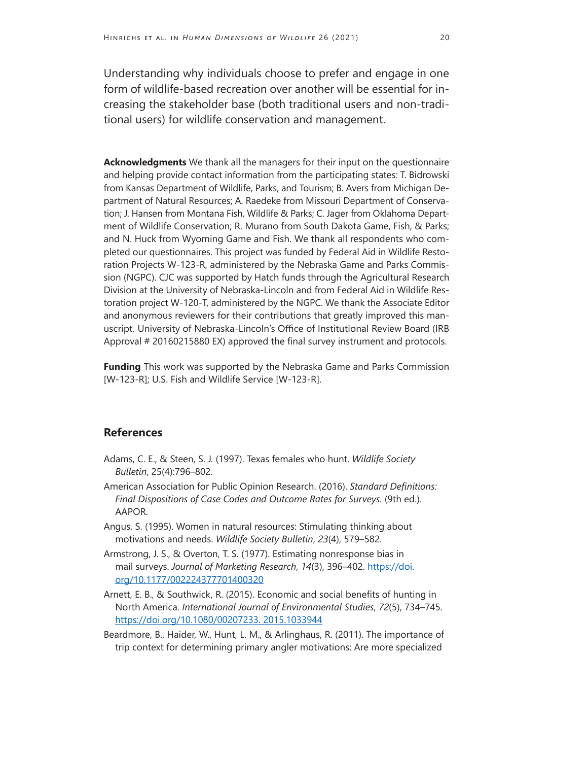Understanding why individuals choose to prefer and engage in one form of wildlife-based recreation over another will be essential for increasing the stakeholder base (both traditional users and non-traditional users) for wildlife conservation and management.

**Acknowledgments** We thank all the managers for their input on the questionnaire and helping provide contact information from the participating states: T. Bidrowski from Kansas Department of Wildlife, Parks, and Tourism; B. Avers from Michigan Department of Natural Resources; A. Raedeke from Missouri Department of Conservation; J. Hansen from Montana Fish, Wildlife & Parks; C. Jager from Oklahoma Department of Wildlife Conservation; R. Murano from South Dakota Game, Fish, & Parks; and N. Huck from Wyoming Game and Fish. We thank all respondents who completed our questionnaires. This project was funded by Federal Aid in Wildlife Restoration Projects W-123-R, administered by the Nebraska Game and Parks Commission (NGPC). CJC was supported by Hatch funds through the Agricultural Research Division at the University of Nebraska-Lincoln and from Federal Aid in Wildlife Restoration project W-120-T, administered by the NGPC. We thank the Associate Editor and anonymous reviewers for their contributions that greatly improved this manuscript. University of Nebraska-Lincoln's Office of Institutional Review Board (IRB Approval # 20160215880 EX) approved the final survey instrument and protocols.

**Funding** This work was supported by the Nebraska Game and Parks Commission [W-123-R]; U.S. Fish and Wildlife Service [W-123-R].

#### **References**

- Adams, C. E., & Steen, S. J. (1997). Texas females who hunt. *Wildlife Society Bulletin*, 25(4):796–802.
- American Association for Public Opinion Research. (2016). *Standard Definitions: Final Dispositions of Case Codes and Outcome Rates for Surveys.* (9th ed.). AAPOR.
- Angus, S. (1995). Women in natural resources: Stimulating thinking about motivations and needs. *Wildlife Society Bulletin*, *23*(4), 579–582.
- Armstrong, J. S., & Overton, T. S. (1977). Estimating nonresponse bias in mail surveys. *Journal of Marketing Research*, *14*(3), 396–402. [https://doi.](https://doi.org/10.1177/002224377701400320) [org/10.1177/002224377701400320](https://doi.org/10.1177/002224377701400320)
- Arnett, E. B., & Southwick, R. (2015). Economic and social benefits of hunting in North America. *International Journal of Environmental Studies*, *72*(5), 734–745. <https://doi.org/10.1080/00207233. 2015.1033944>
- Beardmore, B., Haider, W., Hunt, L. M., & Arlinghaus, R. (2011). The importance of trip context for determining primary angler motivations: Are more specialized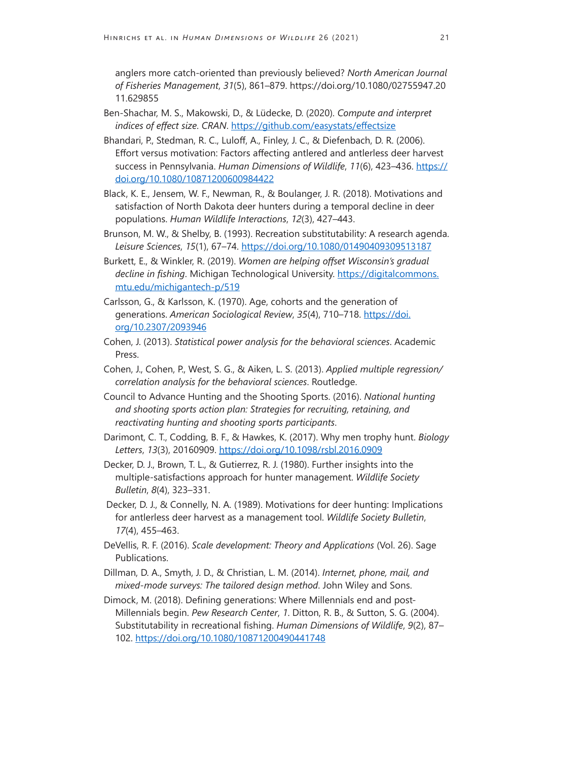anglers more catch-oriented than previously believed? *North American Journal of Fisheries Management*, *31*(5), 861–879. https://doi.org/10.1080/02755947.20 11.629855

- Ben-Shachar, M. S., Makowski, D., & Lüdecke, D. (2020). *Compute and interpret indices of effect size*. *CRAN*. <https://github.com/easystats/effectsize>
- Bhandari, P., Stedman, R. C., Luloff, A., Finley, J. C., & Diefenbach, D. R. (2006). Effort versus motivation: Factors affecting antlered and antlerless deer harvest success in Pennsylvania. *Human Dimensions of Wildlife*, *11*(6), 423–436. [https://](https://doi.org/10.1080/10871200600984422) [doi.org/10.1080/10871200600984422](https://doi.org/10.1080/10871200600984422)
- Black, K. E., Jensem, W. F., Newman, R., & Boulanger, J. R. (2018). Motivations and satisfaction of North Dakota deer hunters during a temporal decline in deer populations. *Human Wildlife Interactions*, *12*(3), 427–443.
- Brunson, M. W., & Shelby, B. (1993). Recreation substitutability: A research agenda. *Leisure Sciences*, *15*(1), 67–74. <https://doi.org/10.1080/01490409309513187>
- Burkett, E., & Winkler, R. (2019). *Women are helping offset Wisconsin's gradual decline in fishing*. Michigan Technological University. [https://digitalcommons.](https://digitalcommons.mtu.edu/michigantech-p/519) [mtu.edu/michigantech-p/519](https://digitalcommons.mtu.edu/michigantech-p/519)
- Carlsson, G., & Karlsson, K. (1970). Age, cohorts and the generation of generations. *American Sociological Review*, *35*(4), 710–718. [https://doi.](https://doi.org/10.2307/2093946) [org/10.2307/2093946](https://doi.org/10.2307/2093946)
- Cohen, J. (2013). *Statistical power analysis for the behavioral sciences*. Academic Press.
- Cohen, J., Cohen, P., West, S. G., & Aiken, L. S. (2013). *Applied multiple regression/ correlation analysis for the behavioral sciences*. Routledge.
- Council to Advance Hunting and the Shooting Sports. (2016). *National hunting and shooting sports action plan: Strategies for recruiting, retaining, and reactivating hunting and shooting sports participants*.
- Darimont, C. T., Codding, B. F., & Hawkes, K. (2017). Why men trophy hunt. *Biology Letters*, *13*(3), 20160909.<https://doi.org/10.1098/rsbl.2016.0909>
- Decker, D. J., Brown, T. L., & Gutierrez, R. J. (1980). Further insights into the multiple-satisfactions approach for hunter management. *Wildlife Society Bulletin*, *8*(4), 323–331.
- Decker, D. J., & Connelly, N. A. (1989). Motivations for deer hunting: Implications for antlerless deer harvest as a management tool. *Wildlife Society Bulletin*, *17*(4), 455–463.
- DeVellis, R. F. (2016). *Scale development: Theory and Applications* (Vol. 26). Sage Publications.
- Dillman, D. A., Smyth, J. D., & Christian, L. M. (2014). *Internet, phone, mail, and mixed-mode surveys: The tailored design method*. John Wiley and Sons.
- Dimock, M. (2018). Defining generations: Where Millennials end and post-Millennials begin. *Pew Research Center*, *1*. Ditton, R. B., & Sutton, S. G. (2004). Substitutability in recreational fishing. *Human Dimensions of Wildlife*, *9*(2), 87– 102.<https://doi.org/10.1080/10871200490441748>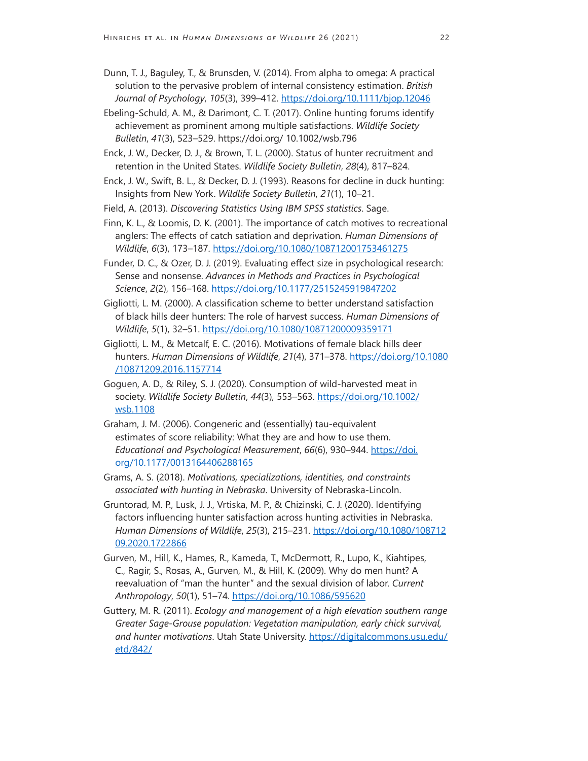- Dunn, T. J., Baguley, T., & Brunsden, V. (2014). From alpha to omega: A practical solution to the pervasive problem of internal consistency estimation. *British Journal of Psychology*, *105*(3), 399–412. <https://doi.org/10.1111/bjop.12046>
- Ebeling-Schuld, A. M., & Darimont, C. T. (2017). Online hunting forums identify achievement as prominent among multiple satisfactions. *Wildlife Society Bulletin*, *41*(3), 523–529. https://doi.org/ 10.1002/wsb.796
- Enck, J. W., Decker, D. J., & Brown, T. L. (2000). Status of hunter recruitment and retention in the United States. *Wildlife Society Bulletin*, *28*(4), 817–824.
- Enck, J. W., Swift, B. L., & Decker, D. J. (1993). Reasons for decline in duck hunting: Insights from New York. *Wildlife Society Bulletin*, *21*(1), 10–21.
- Field, A. (2013). *Discovering Statistics Using IBM SPSS statistics*. Sage.
- Finn, K. L., & Loomis, D. K. (2001). The importance of catch motives to recreational anglers: The effects of catch satiation and deprivation. *Human Dimensions of Wildlife*, *6*(3), 173–187. <https://doi.org/10.1080/108712001753461275>
- Funder, D. C., & Ozer, D. J. (2019). Evaluating effect size in psychological research: Sense and nonsense. *Advances in Methods and Practices in Psychological Science*, *2*(2), 156–168.<https://doi.org/10.1177/2515245919847202>
- Gigliotti, L. M. (2000). A classification scheme to better understand satisfaction of black hills deer hunters: The role of harvest success. *Human Dimensions of Wildlife*, *5*(1), 32–51. <https://doi.org/10.1080/10871200009359171>
- Gigliotti, L. M., & Metcalf, E. C. (2016). Motivations of female black hills deer hunters. *Human Dimensions of Wildlife*, *21*(4), 371–378. [https://doi.org/10.1080](https://doi.org/10.1080/10871209.2016.1157714) [/10871209.2016.1157714](https://doi.org/10.1080/10871209.2016.1157714)
- Goguen, A. D., & Riley, S. J. (2020). Consumption of wild-harvested meat in society. *Wildlife Society Bulletin*, *44*(3), 553–563. [https://doi.org/10.1002/](https://doi.org/10.1002/wsb.1108) [wsb.1108](https://doi.org/10.1002/wsb.1108)
- Graham, J. M. (2006). Congeneric and (essentially) tau-equivalent estimates of score reliability: What they are and how to use them. *Educational and Psychological Measurement*, *66*(6), 930–944. [https://doi.](https://doi.org/10.1177/0013164406288165) [org/10.1177/0013164406288165](https://doi.org/10.1177/0013164406288165)
- Grams, A. S. (2018). *Motivations, specializations, identities, and constraints associated with hunting in Nebraska*. University of Nebraska-Lincoln.
- Gruntorad, M. P., Lusk, J. J., Vrtiska, M. P., & Chizinski, C. J. (2020). Identifying factors influencing hunter satisfaction across hunting activities in Nebraska. *Human Dimensions of Wildlife*, *25*(3), 215–231. [https://doi.org/10.1080/108712](https://doi.org/10.1080/10871209.2020.1722866) [09.2020.1722866](https://doi.org/10.1080/10871209.2020.1722866)
- Gurven, M., Hill, K., Hames, R., Kameda, T., McDermott, R., Lupo, K., Kiahtipes, C., Ragir, S., Rosas, A., Gurven, M., & Hill, K. (2009). Why do men hunt? A reevaluation of "man the hunter" and the sexual division of labor. *Current Anthropology*, *50*(1), 51–74.<https://doi.org/10.1086/595620>
- Guttery, M. R. (2011). *Ecology and management of a high elevation southern range Greater Sage-Grouse population: Vegetation manipulation, early chick survival, and hunter motivations*. Utah State University. [https://digitalcommons.usu.edu/](https://digitalcommons.usu.edu/etd/842/) [etd/842/](https://digitalcommons.usu.edu/etd/842/)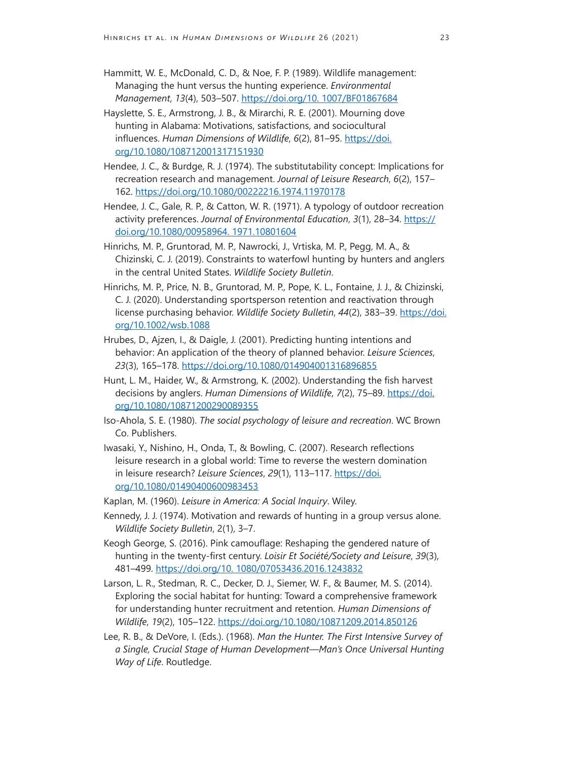- Hammitt, W. E., McDonald, C. D., & Noe, F. P. (1989). Wildlife management: Managing the hunt versus the hunting experience. *Environmental Management*, *13*(4), 503–507.<https://doi.org/10. 1007/BF01867684>
- Hayslette, S. E., Armstrong, J. B., & Mirarchi, R. E. (2001). Mourning dove hunting in Alabama: Motivations, satisfactions, and sociocultural influences. *Human Dimensions of Wildlife*, *6*(2), 81–95. [https://doi.](https://doi.org/10.1080/108712001317151930) [org/10.1080/108712001317151930](https://doi.org/10.1080/108712001317151930)
- Hendee, J. C., & Burdge, R. J. (1974). The substitutability concept: Implications for recreation research and management. *Journal of Leisure Research*, *6*(2), 157– 162.<https://doi.org/10.1080/00222216.1974.11970178>
- Hendee, J. C., Gale, R. P., & Catton, W. R. (1971). A typology of outdoor recreation activity preferences. *Journal of Environmental Education*, *3*(1), 28–34. [https://](https://doi.org/10.1080/00958964. 1971.10801604) [doi.org/10.1080/00958964. 1971.10801604](https://doi.org/10.1080/00958964. 1971.10801604)
- Hinrichs, M. P., Gruntorad, M. P., Nawrocki, J., Vrtiska, M. P., Pegg, M. A., & Chizinski, C. J. (2019). Constraints to waterfowl hunting by hunters and anglers in the central United States. *Wildlife Society Bulletin*.
- Hinrichs, M. P., Price, N. B., Gruntorad, M. P., Pope, K. L., Fontaine, J. J., & Chizinski, C. J. (2020). Understanding sportsperson retention and reactivation through license purchasing behavior. *Wildlife Society Bulletin*, 44(2), 383–39. [https://doi.](https://doi.org/10.1002/wsb.1088) [org/10.1002/wsb.1088](https://doi.org/10.1002/wsb.1088)
- Hrubes, D., Ajzen, I., & Daigle, J. (2001). Predicting hunting intentions and behavior: An application of the theory of planned behavior. *Leisure Sciences*, *23*(3), 165–178.<https://doi.org/10.1080/014904001316896855>
- Hunt, L. M., Haider, W., & Armstrong, K. (2002). Understanding the fish harvest decisions by anglers. *Human Dimensions of Wildlife*, *7*(2), 75–89. [https://doi.](https://doi.org/10.1080/10871200290089355) [org/10.1080/10871200290089355](https://doi.org/10.1080/10871200290089355)
- Iso-Ahola, S. E. (1980). *The social psychology of leisure and recreation*. WC Brown Co. Publishers.
- Iwasaki, Y., Nishino, H., Onda, T., & Bowling, C. (2007). Research reflections leisure research in a global world: Time to reverse the western domination in leisure research? *Leisure Sciences*, *29*(1), 113–117. [https://doi.](https://doi.org/10.1080/01490400600983453) [org/10.1080/01490400600983453](https://doi.org/10.1080/01490400600983453)
- Kaplan, M. (1960). *Leisure in America: A Social Inquiry*. Wiley.
- Kennedy, J. J. (1974). Motivation and rewards of hunting in a group versus alone. *Wildlife Society Bulletin*, 2(1), 3–7.
- Keogh George, S. (2016). Pink camouflage: Reshaping the gendered nature of hunting in the twenty-first century. *Loisir Et Société/Society and Leisure*, *39*(3), 481–499.<https://doi.org/10. 1080/07053436.2016.1243832>
- Larson, L. R., Stedman, R. C., Decker, D. J., Siemer, W. F., & Baumer, M. S. (2014). Exploring the social habitat for hunting: Toward a comprehensive framework for understanding hunter recruitment and retention. *Human Dimensions of Wildlife*, *19*(2), 105–122.<https://doi.org/10.1080/10871209.2014.850126>
- Lee, R. B., & DeVore, I. (Eds.). (1968). *Man the Hunter. The First Intensive Survey of a Single, Crucial Stage of Human Development—Man's Once Universal Hunting Way of Life*. Routledge.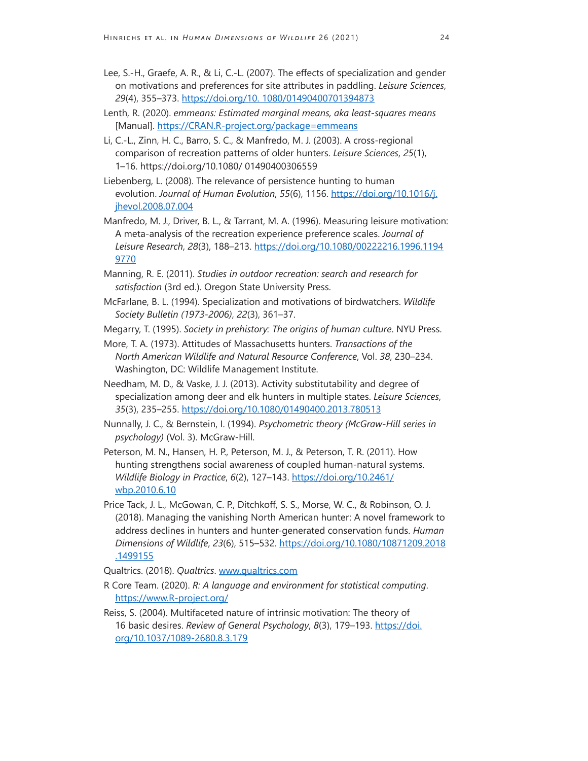- Lee, S.-H., Graefe, A. R., & Li, C.-L. (2007). The effects of specialization and gender on motivations and preferences for site attributes in paddling. *Leisure Sciences*, *29*(4), 355–373.<https://doi.org/10. 1080/01490400701394873>
- Lenth, R. (2020). *emmeans: Estimated marginal means, aka least-squares means*  [Manual]. <https://CRAN.R-project.org/package=emmeans>
- Li, C.-L., Zinn, H. C., Barro, S. C., & Manfredo, M. J. (2003). A cross-regional comparison of recreation patterns of older hunters. *Leisure Sciences*, *25*(1), 1–16. https://doi.org/10.1080/ 01490400306559
- Liebenberg, L. (2008). The relevance of persistence hunting to human evolution. *Journal of Human Evolution*, *55*(6), 1156. [https://doi.org/10.1016/j.](https://doi.org/10.1016/j.jhevol.2008.07.004) [jhevol.2008.07.004](https://doi.org/10.1016/j.jhevol.2008.07.004)
- Manfredo, M. J., Driver, B. L., & Tarrant, M. A. (1996). Measuring leisure motivation: A meta-analysis of the recreation experience preference scales. *Journal of Leisure Research*, *28*(3), 188–213. [https://doi.org/10.1080/00222216.1996.1194](https://doi.org/10.1080/00222216.1996.11949770) [9770](https://doi.org/10.1080/00222216.1996.11949770)
- Manning, R. E. (2011). *Studies in outdoor recreation: search and research for satisfaction* (3rd ed.). Oregon State University Press.
- McFarlane, B. L. (1994). Specialization and motivations of birdwatchers. *Wildlife Society Bulletin (1973-2006)*, *22*(3), 361–37.
- Megarry, T. (1995). *Society in prehistory: The origins of human culture*. NYU Press.
- More, T. A. (1973). Attitudes of Massachusetts hunters. *Transactions of the North American Wildlife and Natural Resource Conference*, Vol. *38*, 230–234. Washington, DC: Wildlife Management Institute.
- Needham, M. D., & Vaske, J. J. (2013). Activity substitutability and degree of specialization among deer and elk hunters in multiple states. *Leisure Sciences*, *35*(3), 235–255.<https://doi.org/10.1080/01490400.2013.780513>
- Nunnally, J. C., & Bernstein, I. (1994). *Psychometric theory (McGraw-Hill series in psychology)* (Vol. 3). McGraw-Hill.
- Peterson, M. N., Hansen, H. P., Peterson, M. J., & Peterson, T. R. (2011). How hunting strengthens social awareness of coupled human-natural systems. *Wildlife Biology in Practice*, *6*(2), 127–143. [https://doi.org/10.2461/](https://doi.org/10.2461/wbp.2010.6.10) [wbp.2010.6.10](https://doi.org/10.2461/wbp.2010.6.10)
- Price Tack, J. L., McGowan, C. P., Ditchkoff, S. S., Morse, W. C., & Robinson, O. J. (2018). Managing the vanishing North American hunter: A novel framework to address declines in hunters and hunter-generated conservation funds. *Human Dimensions of Wildlife*, *23*(6), 515–532. [https://doi.org/10.1080/10871209.2018](https://doi.org/10.1080/10871209.2018.1499155) [.1499155](https://doi.org/10.1080/10871209.2018.1499155)
- Qualtrics. (2018). *Qualtrics*. [www.qualtrics.com](http://www.qualtrics.com)
- R Core Team. (2020). *R: A language and environment for statistical computing*. <https://www.R-project.org/>
- Reiss, S. (2004). Multifaceted nature of intrinsic motivation: The theory of 16 basic desires. *Review of General Psychology*, *8*(3), 179–193. [https://doi.](https://doi.org/10.1037/1089-2680.8.3.179) [org/10.1037/1089-2680.8.3.179](https://doi.org/10.1037/1089-2680.8.3.179)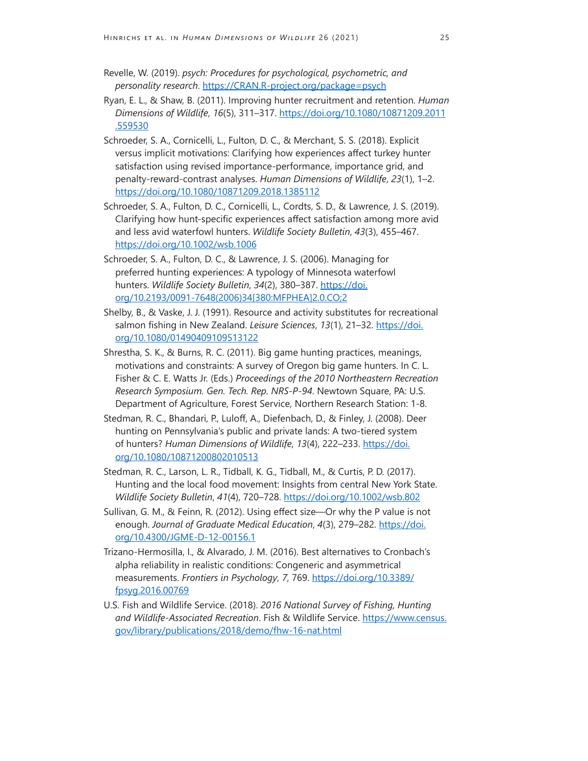- Revelle, W. (2019). *psych: Procedures for psychological, psychometric, and personality research*.<https://CRAN.R-project.org/package=psych>
- Ryan, E. L., & Shaw, B. (2011). Improving hunter recruitment and retention. *Human Dimensions of Wildlife*, *16*(5), 311–317. [https://doi.org/10.1080/10871209.2011](https://doi.org/10.1080/10871209.2011.559530) [.559530](https://doi.org/10.1080/10871209.2011.559530)
- Schroeder, S. A., Cornicelli, L., Fulton, D. C., & Merchant, S. S. (2018). Explicit versus implicit motivations: Clarifying how experiences affect turkey hunter satisfaction using revised importance-performance, importance grid, and penalty-reward-contrast analyses. *Human Dimensions of Wildlife*, *23*(1), 1–2. <https://doi.org/10.1080/10871209.2018.1385112>
- Schroeder, S. A., Fulton, D. C., Cornicelli, L., Cordts, S. D., & Lawrence, J. S. (2019). Clarifying how hunt-specific experiences affect satisfaction among more avid and less avid waterfowl hunters. *Wildlife Society Bulletin*, *43*(3), 455–467. <https://doi.org/10.1002/wsb.1006>
- Schroeder, S. A., Fulton, D. C., & Lawrence, J. S. (2006). Managing for preferred hunting experiences: A typology of Minnesota waterfowl hunters. *Wildlife Society Bulletin*, *34*(2), 380–387. [https://doi.](https://doi.org/10.2193/0091-7648(2006)34[380:MFPHEA]2.0.CO;2) [org/10.2193/0091-7648\(2006\)34\[380:MFPHEA\]2.0.CO;2](https://doi.org/10.2193/0091-7648(2006)34[380:MFPHEA]2.0.CO;2)
- Shelby, B., & Vaske, J. J. (1991). Resource and activity substitutes for recreational salmon fishing in New Zealand. *Leisure Sciences*, *13*(1), 21–32. [https://doi.](https://doi.org/10.1080/01490409109513122) [org/10.1080/01490409109513122](https://doi.org/10.1080/01490409109513122)
- Shrestha, S. K., & Burns, R. C. (2011). Big game hunting practices, meanings, motivations and constraints: A survey of Oregon big game hunters. In C. L. Fisher & C. E. Watts Jr. (Eds.) *Proceedings of the 2010 Northeastern Recreation Research Symposium. Gen. Tech. Rep. NRS-P-94*. Newtown Square, PA: U.S. Department of Agriculture, Forest Service, Northern Research Station: 1-8.
- Stedman, R. C., Bhandari, P., Luloff, A., Diefenbach, D., & Finley, J. (2008). Deer hunting on Pennsylvania's public and private lands: A two-tiered system of hunters? Human Dimensions of Wildlife, 13(4), 222-233. [https://doi.](https://doi.org/10.1080/10871200802010513) [org/10.1080/10871200802010513](https://doi.org/10.1080/10871200802010513)
- Stedman, R. C., Larson, L. R., Tidball, K. G., Tidball, M., & Curtis, P. D. (2017). Hunting and the local food movement: Insights from central New York State. *Wildlife Society Bulletin*, *41*(4), 720–728. <https://doi.org/10.1002/wsb.802>
- Sullivan, G. M., & Feinn, R. (2012). Using effect size—Or why the P value is not enough. *Journal of Graduate Medical Education*, *4*(3), 279–282. [https://doi.](https://doi.org/10.4300/JGME-D-12-00156.1) [org/10.4300/JGME-D-12-00156.1](https://doi.org/10.4300/JGME-D-12-00156.1)
- Trizano-Hermosilla, I., & Alvarado, J. M. (2016). Best alternatives to Cronbach's alpha reliability in realistic conditions: Congeneric and asymmetrical measurements. *Frontiers in Psychology*, *7*, 769. [https://doi.org/10.3389/](https://doi.org/10.3389/fpsyg.2016.00769) [fpsyg.2016.00769](https://doi.org/10.3389/fpsyg.2016.00769)
- U.S. Fish and Wildlife Service. (2018). *2016 National Survey of Fishing, Hunting and Wildlife-Associated Recreation*. Fish & Wildlife Service. [https://www.census.](https://www.census.gov/library/publications/2018/demo/fhw-16-nat.html) [gov/library/publications/2018/demo/fhw-16-nat.html](https://www.census.gov/library/publications/2018/demo/fhw-16-nat.html)